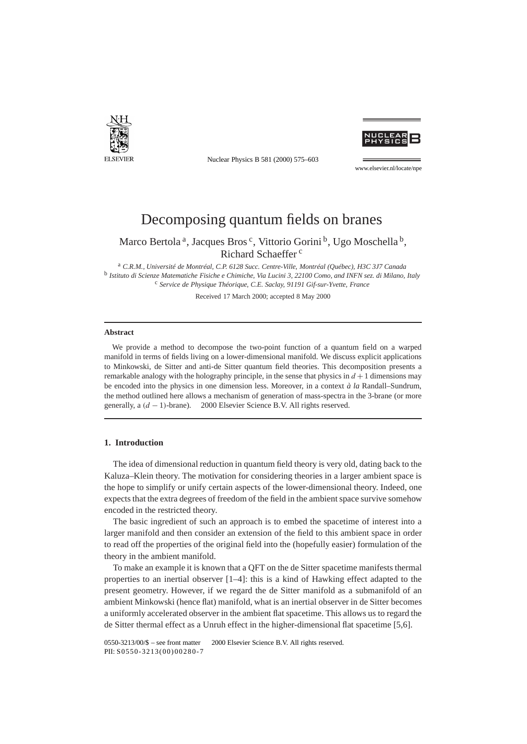

Nuclear Physics B 581 (2000) 575–603



www.elsevier.nl/locate/npe

# Decomposing quantum fields on branes

Marco Bertola<sup>a</sup>, Jacques Bros<sup>c</sup>, Vittorio Gorini<sup>b</sup>, Ugo Moschella<sup>b</sup>, Richard Schaeffer<sup>c</sup>

<sup>a</sup> *C.R.M., Université de Montréal, C.P. 6128 Succ. Centre-Ville, Montréal (Québec), H3C 3J7 Canada* <sup>b</sup> *Istituto di Scienze Matematiche Fisiche e Chimiche, Via Lucini 3, 22100 Como, and INFN sez. di Milano, Italy* <sup>c</sup> *Service de Physique Théorique, C.E. Saclay, 91191 Gif-sur-Yvette, France*

Received 17 March 2000; accepted 8 May 2000

#### **Abstract**

We provide a method to decompose the two-point function of a quantum field on a warped manifold in terms of fields living on a lower-dimensional manifold. We discuss explicit applications to Minkowski, de Sitter and anti-de Sitter quantum field theories. This decomposition presents a remarkable analogy with the holography principle, in the sense that physics in  $d+1$  dimensions may be encoded into the physics in one dimension less. Moreover, in a context *à la* Randall–Sundrum, the method outlined here allows a mechanism of generation of mass-spectra in the 3-brane (or more generally, a (*d* − 1)-brane). © 2000 Elsevier Science B.V. All rights reserved.

# **1. Introduction**

The idea of dimensional reduction in quantum field theory is very old, dating back to the Kaluza–Klein theory. The motivation for considering theories in a larger ambient space is the hope to simplify or unify certain aspects of the lower-dimensional theory. Indeed, one expects that the extra degrees of freedom of the field in the ambient space survive somehow encoded in the restricted theory.

The basic ingredient of such an approach is to embed the spacetime of interest into a larger manifold and then consider an extension of the field to this ambient space in order to read off the properties of the original field into the (hopefully easier) formulation of the theory in the ambient manifold.

To make an example it is known that a QFT on the de Sitter spacetime manifests thermal properties to an inertial observer  $[1-4]$ : this is a kind of Hawking effect adapted to the present geometry. However, if we regard the de Sitter manifold as a submanifold of an ambient Minkowski (hence flat) manifold, what is an inertial observer in de Sitter becomes a uniformly accelerated observer in the ambient flat spacetime. This allows us to regard the de Sitter thermal effect as a Unruh effect in the higher-dimensional flat spacetime [5,6].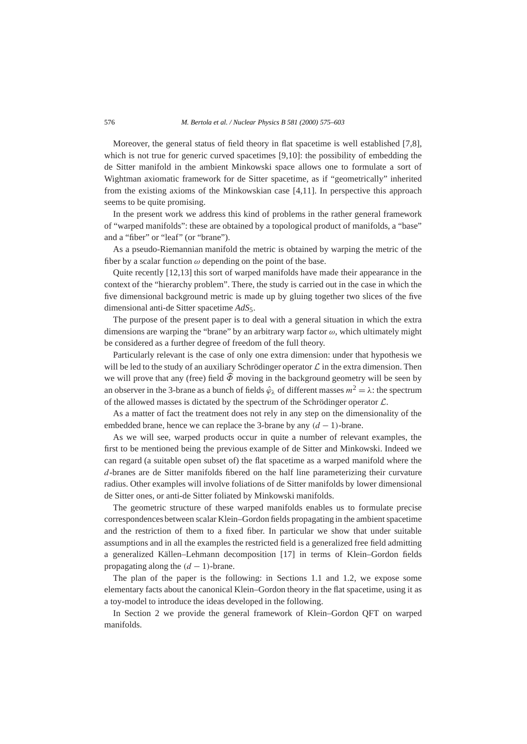Moreover, the general status of field theory in flat spacetime is well established [7,8], which is not true for generic curved spacetimes [9,10]: the possibility of embedding the de Sitter manifold in the ambient Minkowski space allows one to formulate a sort of Wightman axiomatic framework for de Sitter spacetime, as if "geometrically" inherited from the existing axioms of the Minkowskian case [4,11]. In perspective this approach seems to be quite promising.

In the present work we address this kind of problems in the rather general framework of "warped manifolds": these are obtained by a topological product of manifolds, a "base" and a "fiber" or "leaf" (or "brane").

As a pseudo-Riemannian manifold the metric is obtained by warping the metric of the fiber by a scalar function  $\omega$  depending on the point of the base.

Quite recently [12,13] this sort of warped manifolds have made their appearance in the context of the "hierarchy problem". There, the study is carried out in the case in which the five dimensional background metric is made up by gluing together two slices of the five dimensional anti-de Sitter spacetime *AdS*5.

The purpose of the present paper is to deal with a general situation in which the extra dimensions are warping the "brane" by an arbitrary warp factor *ω*, which ultimately might be considered as a further degree of freedom of the full theory.

Particularly relevant is the case of only one extra dimension: under that hypothesis we will be led to the study of an auxiliary Schrödinger operator  $\mathcal L$  in the extra dimension. Then we will prove that any (free) field  $\hat{\phi}$  moving in the background geometry will be seen by an observer in the 3-brane as a bunch of fields  $\hat{\varphi}_{\lambda}$  of different masses  $m^2 = \lambda$ : the spectrum of the allowed masses is dictated by the spectrum of the Schrödinger operator  $\mathcal{L}$ .

As a matter of fact the treatment does not rely in any step on the dimensionality of the embedded brane, hence we can replace the 3-brane by any  $(d-1)$ -brane.

As we will see, warped products occur in quite a number of relevant examples, the first to be mentioned being the previous example of de Sitter and Minkowski. Indeed we can regard (a suitable open subset of) the flat spacetime as a warped manifold where the *d*-branes are de Sitter manifolds fibered on the half line parameterizing their curvature radius. Other examples will involve foliations of de Sitter manifolds by lower dimensional de Sitter ones, or anti-de Sitter foliated by Minkowski manifolds.

The geometric structure of these warped manifolds enables us to formulate precise correspondences between scalar Klein–Gordon fields propagating in the ambient spacetime and the restriction of them to a fixed fiber. In particular we show that under suitable assumptions and in all the examples the restricted field is a generalized free field admitting a generalized Källen–Lehmann decomposition [17] in terms of Klein–Gordon fields propagating along the  $(d-1)$ -brane.

The plan of the paper is the following: in Sections 1.1 and 1.2, we expose some elementary facts about the canonical Klein–Gordon theory in the flat spacetime, using it as a toy-model to introduce the ideas developed in the following.

In Section 2 we provide the general framework of Klein–Gordon QFT on warped manifolds.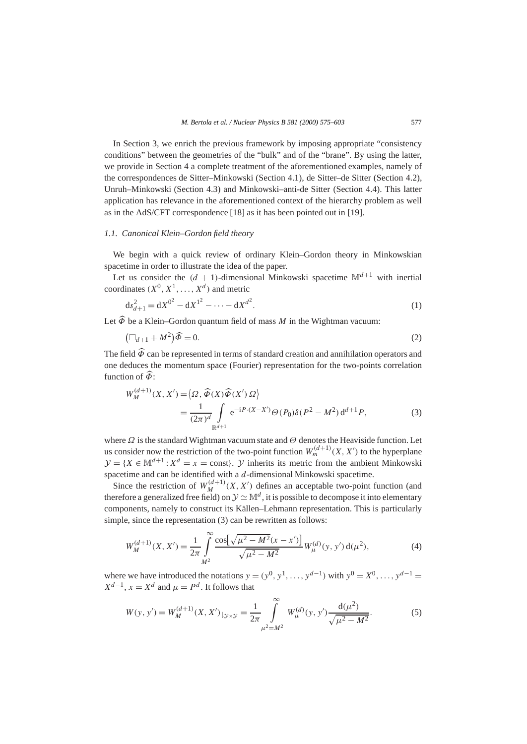In Section 3, we enrich the previous framework by imposing appropriate "consistency conditions" between the geometries of the "bulk" and of the "brane". By using the latter, we provide in Section 4 a complete treatment of the aforementioned examples, namely of the correspondences de Sitter–Minkowski (Section 4.1), de Sitter–de Sitter (Section 4.2), Unruh–Minkowski (Section 4.3) and Minkowski–anti-de Sitter (Section 4.4). This latter application has relevance in the aforementioned context of the hierarchy problem as well as in the AdS/CFT correspondence [18] as it has been pointed out in [19].

# *1.1. Canonical Klein–Gordon field theory*

We begin with a quick review of ordinary Klein–Gordon theory in Minkowskian spacetime in order to illustrate the idea of the paper.

Let us consider the  $(d + 1)$ -dimensional Minkowski spacetime  $\mathbb{M}^{d+1}$  with inertial coordinates  $(X^0, X^1, \ldots, X^d)$  and metric

$$
ds_{d+1}^2 = dX^{0^2} - dX^{1^2} - \dots - dX^{d^2}.
$$
 (1)

Let  $\widehat{\Phi}$  be a Klein–Gordon quantum field of mass *M* in the Wightman vacuum:

$$
\left(\Box_{d+1} + M^2\right)\widehat{\Phi} = 0. \tag{2}
$$

The field  $\widehat{\Phi}$  can be represented in terms of standard creation and annihilation operators and one deduces the momentum space (Fourier) representation for the two-points correlation function of  $\widehat{\Phi}$ :

$$
W_M^{(d+1)}(X, X') = \langle \Omega, \widehat{\Phi}(X)\widehat{\Phi}(X')\Omega \rangle
$$
  
= 
$$
\frac{1}{(2\pi)^d} \int_{\mathbb{R}^{d+1}} e^{-iP \cdot (X - X')} \Theta(P_0) \delta(P^2 - M^2) d^{d+1} P,
$$
 (3)

where *Ω* is the standard Wightman vacuum state and *Θ* denotes the Heaviside function. Let us consider now the restriction of the two-point function  $W_m^{(d+1)}(X, X')$  to the hyperplane  $\mathcal{V} = \{X \in \mathbb{M}^{d+1} : X^d = x = \text{const}\}\$ . *Y* inherits its metric from the ambient Minkowski spacetime and can be identified with a *d*-dimensional Minkowski spacetime.

Since the restriction of  $W_M^{(d+1)}(X, X')$  defines an acceptable two-point function (and therefore a generalized free field) on  $\mathcal{Y} \simeq \mathbb{M}^d$ , it is possible to decompose it into elementary components, namely to construct its Källen–Lehmann representation. This is particularly simple, since the representation (3) can be rewritten as follows:

$$
W_M^{(d+1)}(X, X') = \frac{1}{2\pi} \int_{M^2}^{\infty} \frac{\cos[\sqrt{\mu^2 - M^2}(x - x')] }{\sqrt{\mu^2 - M^2}} W_{\mu}^{(d)}(y, y') d(\mu^2), \tag{4}
$$

where we have introduced the notations  $y = (y^0, y^1, \ldots, y^{d-1})$  with  $y^0 = X^0, \ldots, y^{d-1} =$  $X^{d-1}$ ,  $x = X^d$  and  $\mu = P^d$ . It follows that

$$
W(y, y') = W_M^{(d+1)}(X, X')_{\downarrow y \times y} = \frac{1}{2\pi} \int_{\mu^2 = M^2}^{\infty} W_{\mu}^{(d)}(y, y') \frac{d(\mu^2)}{\sqrt{\mu^2 - M^2}}.
$$
 (5)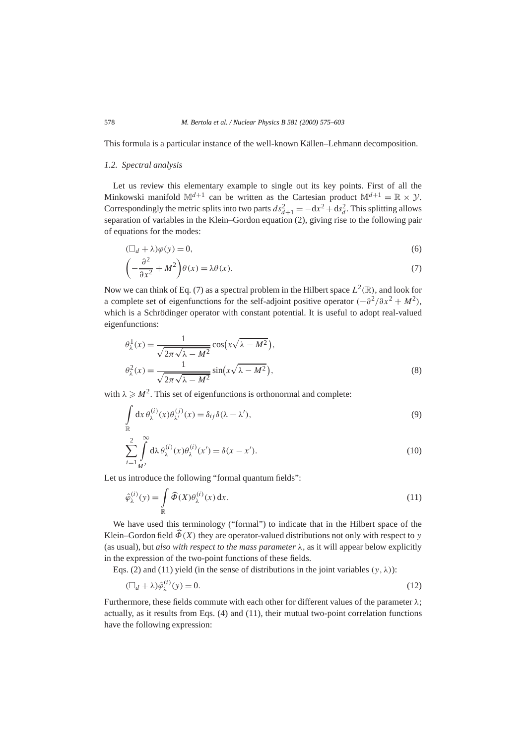This formula is a particular instance of the well-known Källen–Lehmann decomposition.

#### *1.2. Spectral analysis*

Let us review this elementary example to single out its key points. First of all the Minkowski manifold  $\mathbb{M}^{d+1}$  can be written as the Cartesian product  $\mathbb{M}^{d+1} = \mathbb{R} \times \mathcal{Y}$ . Correspondingly the metric splits into two parts  $ds_{d+1}^2 = -dx^2 + ds_d^2$ . This splitting allows separation of variables in the Klein–Gordon equation (2), giving rise to the following pair of equations for the modes:

$$
(\Box_d + \lambda)\varphi(y) = 0,\tag{6}
$$

$$
\left(-\frac{\partial^2}{\partial x^2} + M^2\right)\theta(x) = \lambda\theta(x). \tag{7}
$$

Now we can think of Eq. (7) as a spectral problem in the Hilbert space  $L^2(\mathbb{R})$ , and look for a complete set of eigenfunctions for the self-adjoint positive operator  $(-\partial^2/\partial x^2 + M^2)$ , which is a Schrödinger operator with constant potential. It is useful to adopt real-valued eigenfunctions:

$$
\theta_{\lambda}^{1}(x) = \frac{1}{\sqrt{2\pi\sqrt{\lambda - M^{2}}}} \cos\left(x\sqrt{\lambda - M^{2}}\right),
$$
  

$$
\theta_{\lambda}^{2}(x) = \frac{1}{\sqrt{2\pi\sqrt{\lambda - M^{2}}}} \sin\left(x\sqrt{\lambda - M^{2}}\right),
$$
 (8)

with  $\lambda \geqslant M^2$ . This set of eigenfunctions is orthonormal and complete:

$$
\int_{\mathbb{R}} dx \,\theta_{\lambda}^{(i)}(x)\theta_{\lambda'}^{(j)}(x) = \delta_{ij}\delta(\lambda - \lambda'),\tag{9}
$$

$$
\sum_{i=1}^{2} \int_{M^2}^{\infty} d\lambda \,\theta_{\lambda}^{(i)}(x)\theta_{\lambda}^{(i)}(x') = \delta(x - x'). \tag{10}
$$

Let us introduce the following "formal quantum fields":

$$
\hat{\varphi}_{\lambda}^{(i)}(y) = \int_{\mathbb{R}} \widehat{\Phi}(X)\theta_{\lambda}^{(i)}(x) dx.
$$
\n(11)

We have used this terminology ("formal") to indicate that in the Hilbert space of the Klein–Gordon field  $\widehat{\Phi}(X)$  they are operator-valued distributions not only with respect to *y* (as usual), but *also with respect to the mass parameter*  $\lambda$ , as it will appear below explicitly in the expression of the two-point functions of these fields.

Eqs. (2) and (11) yield (in the sense of distributions in the joint variables  $(y, \lambda)$ ):

$$
(\Box_d + \lambda)\hat{\varphi}_{\lambda}^{(i)}(y) = 0. \tag{12}
$$

Furthermore, these fields commute with each other for different values of the parameter *λ*; actually, as it results from Eqs. (4) and (11), their mutual two-point correlation functions have the following expression: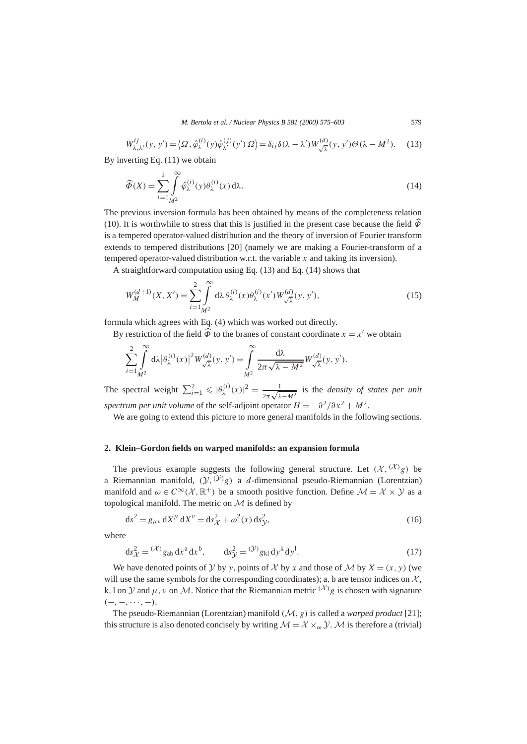*M. Bertola et al. / Nuclear Physics B 581 (2000) 575–603* 579

$$
W_{\lambda,\lambda'}^{ij}(y, y') = \langle \Omega, \hat{\varphi}_{\lambda}^{(i)}(y)\hat{\varphi}_{\lambda'}^{(j)}(y')\,\Omega \rangle = \delta_{ij}\delta(\lambda - \lambda')W_{\sqrt{\lambda}}^{(d)}(y, y')\Theta(\lambda - M^2). \tag{13}
$$

By inverting Eq. (11) we obtain

$$
\widehat{\Phi}(X) = \sum_{i=1}^{2} \int_{M^2}^{\infty} \widehat{\varphi}_{\lambda}^{(i)}(y) \theta_{\lambda}^{(i)}(x) d\lambda.
$$
\n(14)

The previous inversion formula has been obtained by means of the completeness relation (10). It is worthwhile to stress that this is justified in the present case because the field  $\widehat{\Phi}$ is a tempered operator-valued distribution and the theory of inversion of Fourier transform extends to tempered distributions [20] (namely we are making a Fourier-transform of a tempered operator-valued distribution w.r.t. the variable *x* and taking its inversion).

A straightforward computation using Eq. (13) and Eq. (14) shows that

$$
W_M^{(d+1)}(X, X') = \sum_{i=1}^2 \int_{M^2}^{\infty} d\lambda \,\theta_{\lambda}^{(i)}(x)\theta_{\lambda}^{(i)}(x')\,W_{\sqrt{\lambda}}^{(d)}(y, y'),\tag{15}
$$

formula which agrees with Eq. (4) which was worked out directly.

By restriction of the field  $\widehat{\Phi}$  to the branes of constant coordinate  $x = x'$  we obtain

$$
\sum_{i=1}^{2} \int_{M^2}^{\infty} d\lambda \left|\theta_{\lambda}^{(i)}(x)\right|^2 W_{\sqrt{\lambda}}^{(d)}(y, y') = \int_{M^2}^{\infty} \frac{d\lambda}{2\pi \sqrt{\lambda - M^2}} W_{\sqrt{\lambda}}^{(d)}(y, y').
$$

The spectral weight  $\sum_{i=1}^{2} \leqslant |\theta_{\lambda}^{(i)}(x)|^2 = \frac{1}{2\pi\sqrt{\lambda-M^2}}$  is the *density of states per unit spectrum per unit volume* of the self-adjoint operator  $H = -\frac{\partial^2}{\partial x^2} + M^2$ .

We are going to extend this picture to more general manifolds in the following sections.

## **2. Klein–Gordon fields on warped manifolds: an expansion formula**

The previous example suggests the following general structure. Let  $(\mathcal{X}, {(\mathcal{X})_g})$  be a Riemannian manifold,  $(\mathcal{Y},^{(\mathcal{Y})}g)$  a *d*-dimensional pseudo-Riemannian (Lorentzian) manifold and  $\omega \in C^{\infty}(\mathcal{X}, \mathbb{R}^+)$  be a smooth positive function. Define  $\mathcal{M} = \mathcal{X} \times \mathcal{Y}$  as a topological manifold. The metric on  $M$  is defined by

$$
ds^{2} = g_{\mu\nu} dX^{\mu} dX^{\nu} = ds_{\mathcal{X}}^{2} + \omega^{2}(x) ds_{\mathcal{Y}}^{2},
$$
\n(16)

where

$$
ds_{\mathcal{X}}^2 = {}^{(\mathcal{X})}g_{ab} dx^a dx^b, \qquad ds_{\mathcal{Y}}^2 = {}^{(\mathcal{Y})}g_{kl} dy^k dy^l. \tag{17}
$$

We have denoted points of Y by *y*, points of X by x and those of M by  $X = (x, y)$  (we will use the same symbols for the corresponding coordinates); a, b are tensor indices on  $X$ , k, l on  $\mathcal Y$  and  $\mu$ ,  $\nu$  on  $\mathcal M$ . Notice that the Riemannian metric  $(\mathcal X)$  *g* is chosen with signature *(*−*,*−*,*···*,*−*)*.

The pseudo-Riemannian (Lorentzian) manifold *(*M*, g)* is called a *warped product* [21]; this structure is also denoted concisely by writing  $\mathcal{M} = \mathcal{X} \times_{\omega} \mathcal{Y}$ . M is therefore a (trivial)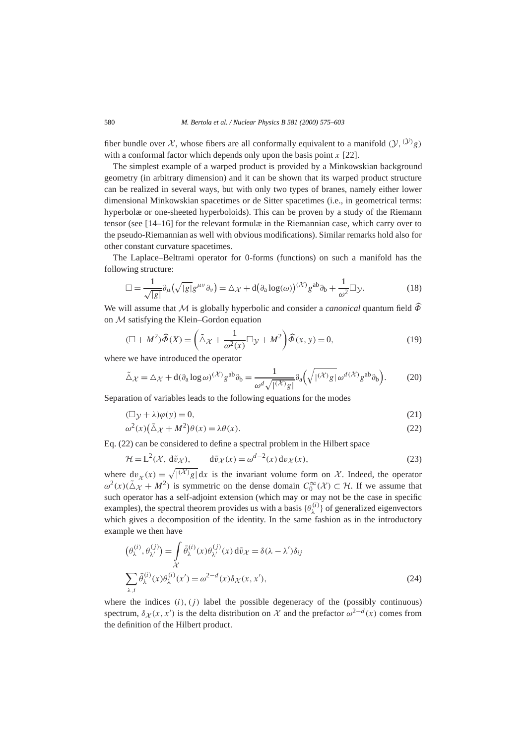fiber bundle over X, whose fibers are all conformally equivalent to a manifold  $(\mathcal{Y},^{(\mathcal{Y})}g)$ with a conformal factor which depends only upon the basis point *x* [22].

The simplest example of a warped product is provided by a Minkowskian background geometry (in arbitrary dimension) and it can be shown that its warped product structure can be realized in several ways, but with only two types of branes, namely either lower dimensional Minkowskian spacetimes or de Sitter spacetimes (i.e., in geometrical terms: hyperbolæ or one-sheeted hyperboloids). This can be proven by a study of the Riemann tensor (see [14–16] for the relevant formulæ in the Riemannian case, which carry over to the pseudo-Riemannian as well with obvious modifications). Similar remarks hold also for other constant curvature spacetimes.

The Laplace–Beltrami operator for 0-forms (functions) on such a manifold has the following structure:

$$
\Box = \frac{1}{\sqrt{|g|}} \partial_{\mu} (\sqrt{|g|} g^{\mu \nu} \partial_{\nu}) = \Delta_{\mathcal{X}} + d \big( \partial_{a} \log(\omega) \big)^{(\mathcal{X})} g^{ab} \partial_{b} + \frac{1}{\omega^{2}} \Box_{\mathcal{Y}}.
$$
 (18)

We will assume that M is globally hyperbolic and consider a *canonical* quantum field  $\widehat{\Phi}$ on M satisfying the Klein–Gordon equation

$$
(\Box + M^2)\widehat{\Phi}(X) = \left(\tilde{\triangle}x + \frac{1}{\omega^2(x)}\Box y + M^2\right)\widehat{\Phi}(x, y) = 0,
$$
\n(19)

where we have introduced the operator

$$
\tilde{\Delta}\chi = \Delta\chi + d(\partial_a \log \omega)^{(\mathcal{X})} g^{ab} \partial_b = \frac{1}{\omega^d \sqrt{|\mathcal{X} \rangle g}} \partial_a \left( \sqrt{|\mathcal{X} \rangle g} \omega^{d(\mathcal{X})} g^{ab} \partial_b \right).
$$
 (20)

Separation of variables leads to the following equations for the modes

$$
(\Box y + \lambda)\varphi(y) = 0,\tag{21}
$$

$$
\omega^{2}(x)\left(\tilde{\Delta}\chi + M^{2}\right)\theta(x) = \lambda\theta(x). \tag{22}
$$

Eq. (22) can be considered to define a spectral problem in the Hilbert space

$$
\mathcal{H} = L^{2}(\mathcal{X}, d\tilde{\nu}_{\mathcal{X}}), \qquad d\tilde{\nu}_{\mathcal{X}}(x) = \omega^{d-2}(x) d\nu_{\mathcal{X}}(x), \tag{23}
$$

where  $dv_x(x) = \sqrt{(\alpha/2)g} dx$  is the invariant volume form on X. Indeed, the operator  $\omega^2(x)(\tilde{\Delta} \chi + M^2)$  is symmetric on the dense domain  $C_0^{\infty}(\mathcal{X}) \subset \mathcal{H}$ . If we assume that such operator has a self-adjoint extension (which may or may not be the case in specific examples), the spectral theorem provides us with a basis  $\{\theta_{\lambda}^{(i)}\}$  of generalized eigenvectors which gives a decomposition of the identity. In the same fashion as in the introductory example we then have

$$
\begin{aligned}\n(\theta_{\lambda}^{(i)}, \theta_{\lambda'}^{(j)}) &= \int_{\mathcal{X}} \bar{\theta}_{\lambda}^{(i)}(x) \theta_{\lambda'}^{(j)}(x) d\tilde{v}_{\mathcal{X}} = \delta(\lambda - \lambda') \delta_{ij} \\
\sum_{\lambda, i} \bar{\theta}_{\lambda}^{(i)}(x) \theta_{\lambda}^{(i)}(x') &= \omega^{2-d}(x) \delta_{\mathcal{X}}(x, x'),\n\end{aligned}
$$
\n(24)

where the indices  $(i)$ ,  $(j)$  label the possible degeneracy of the (possibly continuous) spectrum,  $\delta_X(x, x')$  is the delta distribution on X and the prefactor  $\omega^{2-d}(x)$  comes from the definition of the Hilbert product.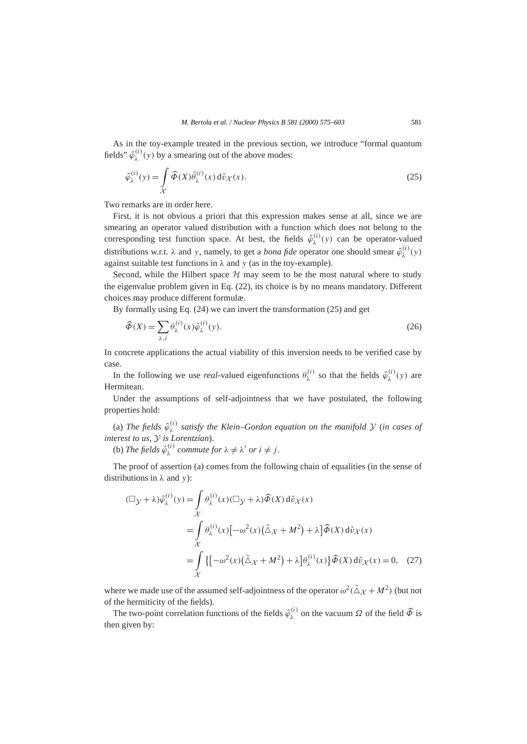As in the toy-example treated in the previous section, we introduce "formal quantum fields"  $\hat{\varphi}_{\lambda}^{(i)}(y)$  by a smearing out of the above modes:

$$
\hat{\varphi}_{\lambda}^{(i)}(y) = \int_{\mathcal{X}} \widehat{\Phi}(X) \bar{\theta}_{\lambda}^{(i)}(x) d\tilde{v}_{\mathcal{X}}(x).
$$
\n(25)

Two remarks are in order here.

First, it is not obvious a priori that this expression makes sense at all, since we are smearing an operator valued distribution with a function which does not belong to the corresponding test function space. At best, the fields  $\hat{\varphi}_{\lambda}^{(i)}(y)$  can be operator-valued distributions w.r.t.  $\lambda$  and *y*, namely, to get a *bona fide* operator one should smear  $\hat{\varphi}_{\lambda}^{(i)}(y)$ against suitable test functions in  $\lambda$  and  $\nu$  (as in the toy-example).

Second, while the Hilbert space  $H$  may seem to be the most natural where to study the eigenvalue problem given in Eq. (22), its choice is by no means mandatory. Different choices may produce different formulæ.

By formally using Eq. (24) we can invert the transformation (25) and get

$$
\widehat{\Phi}(X) = \sum_{\lambda,i} \theta_{\lambda}^{(i)}(x)\widehat{\varphi}_{\lambda}^{(i)}(y). \tag{26}
$$

In concrete applications the actual viability of this inversion needs to be verified case by case.

In the following we use *real*-valued eigenfunctions  $\theta_{\lambda}^{(i)}$  so that the fields  $\hat{\varphi}_{\lambda}^{(i)}(y)$  are Hermitean.

Under the assumptions of self-adjointness that we have postulated, the following properties hold:

(a) *The fields*  $\hat{\varphi}_{\lambda}^{(i)}$  *satisfy the Klein–Gordon equation on the manifold*  $\mathcal{Y}$  (*in cases of interest to us,* Y *is Lorentzian*).

(b) *The fields*  $\hat{\varphi}_{\lambda}^{(i)}$  *commute for*  $\lambda \neq \lambda'$  *or*  $i \neq j$ *.* 

The proof of assertion (a) comes from the following chain of equalities (in the sense of distributions in *λ* and *y*):

$$
(\Box y + \lambda)\hat{\varphi}_{\lambda}^{(i)}(y) = \int_{\mathcal{X}} \theta_{\lambda}^{(i)}(x) (\Box y + \lambda) \widehat{\Phi}(X) d\tilde{v}_{\mathcal{X}}(x)
$$
  
\n
$$
= \int_{\mathcal{X}} \theta_{\lambda}^{(i)}(x) [-\omega^2(x) (\tilde{\Delta}x + M^2) + \lambda] \widehat{\Phi}(X) d\tilde{v}_{\mathcal{X}}(x)
$$
  
\n
$$
= \int_{\mathcal{X}} \{ [-\omega^2(x) (\tilde{\Delta}x + M^2) + \lambda] \theta_{\lambda}^{(i)}(x) \} \widehat{\Phi}(X) d\tilde{v}_{\mathcal{X}}(x) = 0, \quad (27)
$$

where we made use of the assumed self-adjointness of the operator  $\omega^2(\tilde{\Delta} \chi + M^2)$  (but not of the hermiticity of the fields).

The two-point correlation functions of the fields  $\hat{\varphi}_{\lambda}^{(i)}$  on the vacuum  $\Omega$  of the field  $\hat{\varPhi}$  is then given by: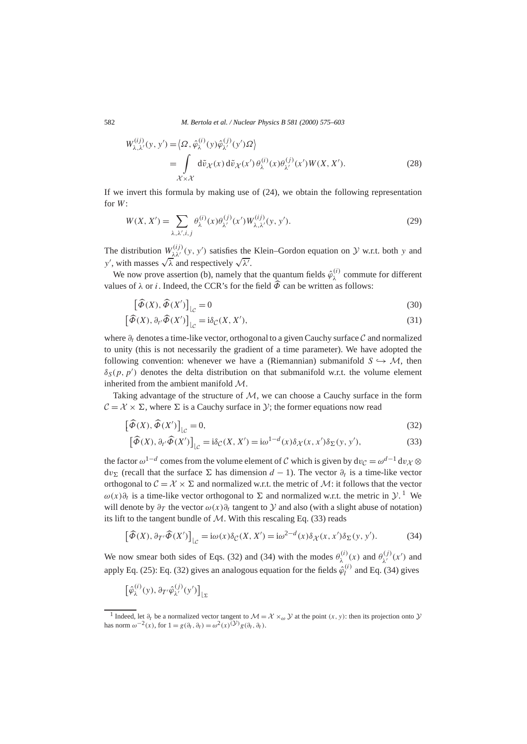582 *M. Bertola et al. / Nuclear Physics B 581 (2000) 575–603*

$$
W_{\lambda,\lambda'}^{(ij)}(y, y') = \langle \Omega, \hat{\varphi}_{\lambda}^{(i)}(y)\hat{\varphi}_{\lambda'}^{(j)}(y')\Omega \rangle
$$
  
= 
$$
\int_{\mathcal{X} \times \mathcal{X}} d\tilde{v}_{\mathcal{X}}(x) d\tilde{v}_{\mathcal{X}}(x') \theta_{\lambda}^{(i)}(x) \theta_{\lambda'}^{(j)}(x') W(X, X').
$$
 (28)

If we invert this formula by making use of (24), we obtain the following representation for *W*:

$$
W(X, X') = \sum_{\lambda, \lambda', i, j} \theta_{\lambda}^{(i)}(x) \theta_{\lambda'}^{(j)}(x') W_{\lambda, \lambda'}^{(ij)}(y, y').
$$
\n(29)

The distribution  $W_{\lambda\lambda'}^{(ij)}(y, y')$  satisfies the Klein–Gordon equation on  $\lambda$  w.r.t. both *y* and *y*, with masses  $\sqrt{\lambda}$  and respectively  $\sqrt{\lambda}$ .

We now prove assertion (b), namely that the quantum fields  $\hat{\varphi}_{\lambda}^{(i)}$  commute for different values of  $\lambda$  or *i*. Indeed, the CCR's for the field  $\widehat{\Phi}$  can be written as follows:

$$
\left[\widehat{\Phi}(X), \widehat{\Phi}(X')\right]_{\mathcal{L}} = 0\tag{30}
$$

$$
\left[\widehat{\Phi}(X),\partial_{t'}\widehat{\Phi}(X')\right]_{\mathcal{L}^{c}} = i\delta_{\mathcal{C}}(X,X'),\tag{31}
$$

where *∂t* denotes a time-like vector, orthogonal to a given Cauchy surface C and normalized to unity (this is not necessarily the gradient of a time parameter). We have adopted the following convention: whenever we have a (Riemannian) submanifold  $S \rightarrow M$ , then  $\delta_S(p, p')$  denotes the delta distribution on that submanifold w.r.t. the volume element inherited from the ambient manifold M.

Taking advantage of the structure of  $M$ , we can choose a Cauchy surface in the form  $C = \mathcal{X} \times \Sigma$ , where  $\Sigma$  is a Cauchy surface in *Y*; the former equations now read

$$
\left[\widehat{\Phi}(X), \widehat{\Phi}(X')\right]_{\mathcal{L}} = 0,\tag{32}
$$

$$
\left[\widehat{\Phi}(X), \partial_{t'}\widehat{\Phi}(X')\right]_{\mathcal{L}} = i\delta_{\mathcal{C}}(X, X') = i\omega^{1-d}(x)\delta_{\mathcal{X}}(x, x')\delta_{\Sigma}(y, y'),\tag{33}
$$

the factor  $\omega^{1-d}$  comes from the volume element of C which is given by  $dv_C = \omega^{d-1} dv_{\mathcal{X}} \otimes$  $dv_{\Sigma}$  (recall that the surface  $\Sigma$  has dimension *d* − 1). The vector  $\partial_t$  is a time-like vector orthogonal to  $C = \mathcal{X} \times \Sigma$  and normalized w.r.t. the metric of  $\mathcal{M}$ : it follows that the vector *ω*(*x*) $\partial_t$  is a time-like vector orthogonal to Σ and normalized w.r.t. the metric in  $\mathcal{Y}$ . We will denote by  $\partial_T$  the vector  $\omega(x)\partial_t$  tangent to  $\mathcal Y$  and also (with a slight abuse of notation) its lift to the tangent bundle of  $M$ . With this rescaling Eq. (33) reads

$$
\left[\widehat{\Phi}(X), \partial_{T'}\widehat{\Phi}(X')\right]_{\mathcal{L}^{c}} = i\omega(x)\delta_{\mathcal{C}}(X, X') = i\omega^{2-d}(x)\delta_{\mathcal{X}}(x, x')\delta_{\Sigma}(y, y'). \tag{34}
$$

We now smear both sides of Eqs. (32) and (34) with the modes  $\theta_{\lambda}^{(i)}(x)$  and  $\theta_{\lambda'}^{(j)}(x')$  and apply Eq. (25): Eq. (32) gives an analogous equation for the fields  $\hat{\varphi}_l^{(i)}$  and Eq. (34) gives

$$
\left[\hat{\varphi}_{\lambda}^{(i)}(y),\partial_{T'}\hat{\varphi}_{\lambda'}^{(j)}(y')\right]_{\lfloor \Sigma}
$$

<sup>&</sup>lt;sup>1</sup> Indeed, let  $\partial_t$  be a normalized vector tangent to  $\mathcal{M} = \mathcal{X} \times_\omega \mathcal{Y}$  at the point  $(x, y)$ : then its projection onto  $\mathcal{Y}$ has norm  $\omega^{-2}(x)$ , for  $1 = g(\partial_t, \partial_t) = \omega^2(x)$ <sup>(y)</sup>g( $\partial_t, \partial_t$ ).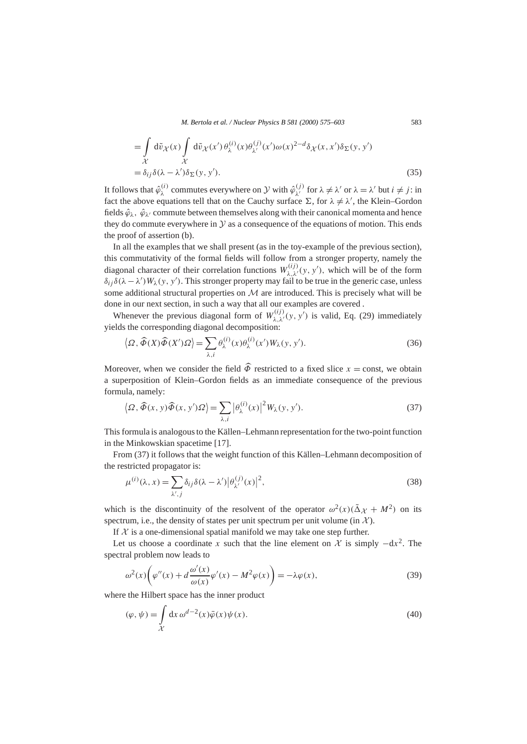*M. Bertola et al. / Nuclear Physics B 581 (2000) 575–603* 583

$$
= \int_{\mathcal{X}} d\tilde{v}_{\mathcal{X}}(x) \int_{\mathcal{X}} d\tilde{v}_{\mathcal{X}}(x') \theta_{\lambda}^{(i)}(x) \theta_{\lambda'}^{(j)}(x') \omega(x)^{2-d} \delta_{\mathcal{X}}(x, x') \delta_{\Sigma}(y, y')
$$
  
=  $\delta_{ij} \delta(\lambda - \lambda') \delta_{\Sigma}(y, y').$  (35)

It follows that  $\hat{\varphi}_{\lambda}^{(i)}$  commutes everywhere on  $\mathcal{Y}$  with  $\hat{\varphi}_{\lambda'}^{(j)}$  for  $\lambda \neq \lambda'$  or  $\lambda = \lambda'$  but  $i \neq j$ : in fact the above equations tell that on the Cauchy surface  $\Sigma$ , for  $\lambda \neq \lambda'$ , the Klein–Gordon fields  $\hat{\varphi}_{\lambda}$ ,  $\hat{\varphi}_{\lambda}$  commute between themselves along with their canonical momenta and hence they do commute everywhere in  $\mathcal Y$  as a consequence of the equations of motion. This ends the proof of assertion (b).

In all the examples that we shall present (as in the toy-example of the previous section), this commutativity of the formal fields will follow from a stronger property, namely the diagonal character of their correlation functions  $W_{\lambda,\lambda'}^{(ij)}(y, y')$ , which will be of the form  $\delta_{ij}\delta(\lambda-\lambda')W_{\lambda}(y, y')$ . This stronger property may fail to be true in the generic case, unless some additional structural properties on  $\mathcal M$  are introduced. This is precisely what will be done in our next section, in such a way that all our examples are covered .

Whenever the previous diagonal form of  $W_{\lambda,\lambda'}^{(ij)}(y, y')$  is valid, Eq. (29) immediately yields the corresponding diagonal decomposition:

$$
\langle \Omega, \widehat{\Phi}(X)\widehat{\Phi}(X')\Omega \rangle = \sum_{\lambda,i} \theta_{\lambda}^{(i)}(x)\theta_{\lambda}^{(i)}(x')W_{\lambda}(y, y'). \tag{36}
$$

Moreover, when we consider the field  $\hat{\Phi}$  restricted to a fixed slice  $x =$  const, we obtain a superposition of Klein–Gordon fields as an immediate consequence of the previous formula, namely:

$$
\langle \Omega, \widehat{\Phi}(x, y)\widehat{\Phi}(x, y')\Omega \rangle = \sum_{\lambda, i} |\theta_{\lambda}^{(i)}(x)|^2 W_{\lambda}(y, y'). \tag{37}
$$

This formula is analogous to the Källen–Lehmann representation for the two-point function in the Minkowskian spacetime [17].

From (37) it follows that the weight function of this Källen–Lehmann decomposition of the restricted propagator is:

$$
\mu^{(i)}(\lambda, x) = \sum_{\lambda', j} \delta_{ij} \delta(\lambda - \lambda') \left| \theta_{\lambda'}^{(j)}(x) \right|^2, \tag{38}
$$

which is the discontinuity of the resolvent of the operator  $\omega^2(x)(\tilde{\Delta} \chi + M^2)$  on its spectrum, i.e., the density of states per unit spectrum per unit volume (in  $\mathcal{X}$ ).

If  $X$  is a one-dimensional spatial manifold we may take one step further.

Let us choose a coordinate *x* such that the line element on  $\chi$  is simply  $-dx^2$ . The spectral problem now leads to

$$
\omega^{2}(x)\left(\varphi''(x) + d\frac{\omega'(x)}{\omega(x)}\varphi'(x) - M^{2}\varphi(x)\right) = -\lambda\varphi(x),\tag{39}
$$

where the Hilbert space has the inner product

$$
(\varphi, \psi) = \int_{\mathcal{X}} dx \, \omega^{d-2}(x) \bar{\varphi}(x) \psi(x).
$$
 (40)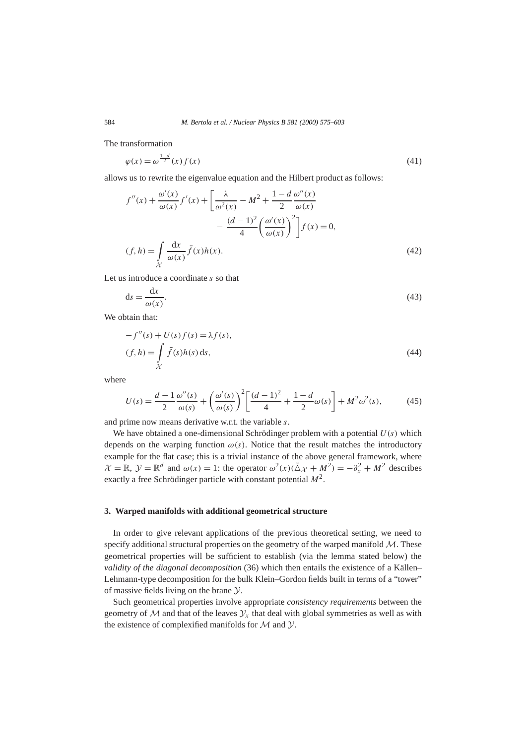The transformation

$$
\varphi(x) = \omega^{\frac{1-d}{2}}(x) f(x) \tag{41}
$$

allows us to rewrite the eigenvalue equation and the Hilbert product as follows:

$$
f''(x) + \frac{\omega'(x)}{\omega(x)} f'(x) + \left[\frac{\lambda}{\omega^2(x)} - M^2 + \frac{1 - d}{2} \frac{\omega''(x)}{\omega(x)} - \frac{(d-1)^2}{4} \left(\frac{\omega'(x)}{\omega(x)}\right)^2\right] f(x) = 0,
$$
  
(f, h) = 
$$
\int_{\mathcal{X}} \frac{dx}{\omega(x)} \bar{f}(x)h(x).
$$
 (42)

Let us introduce a coordinate *s* so that

$$
ds = \frac{dx}{\omega(x)}.\tag{43}
$$

We obtain that:

$$
-f''(s) + U(s) f(s) = \lambda f(s),
$$
  
(f, h) = 
$$
\int_{\mathcal{X}} \overline{f}(s)h(s) ds,
$$
 (44)

where

$$
U(s) = \frac{d-1}{2} \frac{\omega''(s)}{\omega(s)} + \left(\frac{\omega'(s)}{\omega(s)}\right)^2 \left[\frac{(d-1)^2}{4} + \frac{1-d}{2}\omega(s)\right] + M^2 \omega^2(s),\tag{45}
$$

and prime now means derivative w.r.t. the variable *s*.

We have obtained a one-dimensional Schrödinger problem with a potential *U (s)* which depends on the warping function  $\omega(s)$ . Notice that the result matches the introductory example for the flat case; this is a trivial instance of the above general framework, where  $\mathcal{X} = \mathbb{R}, \mathcal{Y} = \mathbb{R}^d$  and  $\omega(x) = 1$ : the operator  $\omega^2(x)(\tilde{\Delta} \chi + M^2) = -\partial_x^2 + M^2$  describes exactly a free Schrödinger particle with constant potential *M*2.

#### **3. Warped manifolds with additional geometrical structure**

In order to give relevant applications of the previous theoretical setting, we need to specify additional structural properties on the geometry of the warped manifold  $M$ . These geometrical properties will be sufficient to establish (via the lemma stated below) the *validity of the diagonal decomposition* (36) which then entails the existence of a Källen– Lehmann-type decomposition for the bulk Klein–Gordon fields built in terms of a "tower" of massive fields living on the brane Y.

Such geometrical properties involve appropriate *consistency requirements* between the geometry of  $M$  and that of the leaves  $\mathcal{Y}_x$  that deal with global symmetries as well as with the existence of complexified manifolds for  $M$  and  $Y$ .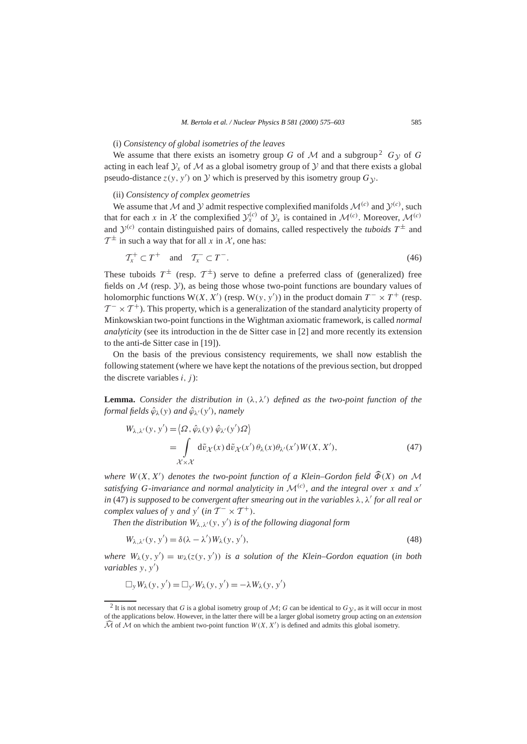#### (i) *Consistency of global isometries of the leaves*

We assume that there exists an isometry group *G* of *M* and a subgroup<sup>2</sup>  $G_V$  of *G* acting in each leaf  $\mathcal{Y}_r$  of M as a global isometry group of Y and that there exists a global pseudo-distance  $z(y, y')$  on  $Y$  which is preserved by this isometry group  $G_y$ .

# (ii) *Consistency of complex geometries*

We assume that M and Y admit respective complexified manifolds  $\mathcal{M}^{(c)}$  and  $\mathcal{Y}^{(c)}$ , such that for each *x* in *X* the complexified  $y_x^{(c)}$  of  $y_x$  is contained in  $\mathcal{M}^{(c)}$ . Moreover,  $\mathcal{M}^{(c)}$ and  $\mathcal{Y}^{(c)}$  contain distinguished pairs of domains, called respectively the *tuboids*  $T^{\pm}$  and  $\mathcal{T}^{\pm}$  in such a way that for all x in X, one has:

$$
\mathcal{T}_x^+ \subset T^+ \quad \text{and} \quad \mathcal{T}_x^- \subset T^-.
$$

These tuboids  $T^{\pm}$  (resp.  $T^{\pm}$ ) serve to define a preferred class of (generalized) free fields on  $M$  (resp.  $Y$ ), as being those whose two-point functions are boundary values of holomorphic functions  $W(X, X')$  (resp.  $W(y, y')$ ) in the product domain  $T^{-} \times T^{+}$  (resp.  $T^{-} \times T^{+}$ ). This property, which is a generalization of the standard analyticity property of Minkowskian two-point functions in the Wightman axiomatic framework, is called *normal analyticity* (see its introduction in the de Sitter case in [2] and more recently its extension to the anti-de Sitter case in [19]).

On the basis of the previous consistency requirements, we shall now establish the following statement (where we have kept the notations of the previous section, but dropped the discrete variables  $i$ ,  $j$ ):

**Lemma.** *Consider the distribution in*  $(\lambda, \lambda')$  *defined as the two-point function of the formal fields ϕ*ˆ*λ(y) and ϕ*ˆ*λ*<sup>0</sup>*(y*<sup>0</sup> *), namely*

$$
W_{\lambda,\lambda'}(y, y') = \langle \Omega, \hat{\varphi}_{\lambda}(y) \hat{\varphi}_{\lambda'}(y') \Omega \rangle
$$
  
= 
$$
\int_{\mathcal{X} \times \mathcal{X}} d\tilde{\nu}_{\mathcal{X}}(x) d\tilde{\nu}_{\mathcal{X}}(x') \theta_{\lambda}(x) \theta_{\lambda'}(x') W(X, X'),
$$
 (47)

*where*  $W(X, X')$  *denotes the two-point function of a Klein–Gordon field*  $\widehat{\Phi}(X)$  *on* M *satisfying G*-invariance and normal analyticity in  $\mathcal{M}^{(c)}$ , and the integral over x and  $x'$ *in* (47) *is supposed to be convergent after smearing out in the variables*  $\lambda$ ,  $\lambda'$  *for all real or complex values of y and*  $y'$  (*in*  $T^- \times T^+$ )*.* 

*Then the distribution*  $W_{\lambda,\lambda}(y, y')$  *is of the following diagonal form* 

$$
W_{\lambda,\lambda'}(y, y') = \delta(\lambda - \lambda') W_{\lambda}(y, y'),\tag{48}
$$

*where*  $W_{\lambda}(y, y') = w_{\lambda}(z(y, y'))$  *is a solution of the Klein–Gordon equation* (*in both variables*  $y, y')$ 

$$
\Box_y W_{\lambda}(y, y') = \Box_{y'} W_{\lambda}(y, y') = -\lambda W_{\lambda}(y, y')
$$

<sup>&</sup>lt;sup>2</sup> It is not necessary that *G* is a global isometry group of *M*; *G* can be identical to  $G<sub>V</sub>$ , as it will occur in most of the applications below. However, in the latter there will be a larger global isometry group acting on an *extension*  $\widehat{\mathcal{M}}$  of  $\widehat{\mathcal{M}}$  on which the ambient two-point function  $W(X, X')$  is defined and admits this global isometry.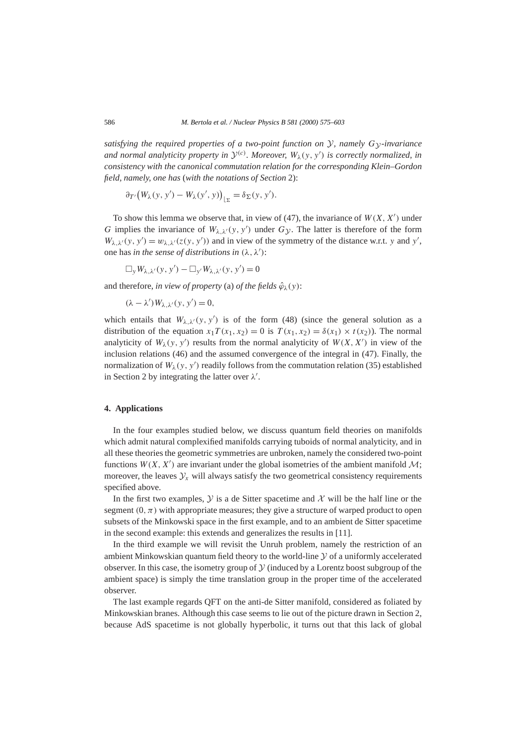*satisfying the required properties of a two-point function on*  $\mathcal{Y}$ *, namely*  $G_{\mathcal{Y}}$ -invariance *and normal analyticity property in*  $\mathcal{Y}^{(c)}$ *. Moreover,*  $W_{\lambda}(y, y')$  *is correctly normalized, in consistency with the canonical commutation relation for the corresponding Klein–Gordon field, namely, one has* (*with the notations of Section* 2):

$$
\partial_{T'}\big(W_{\lambda}(y, y') - W_{\lambda}(y', y)\big)_{\vert \Sigma} = \delta_{\Sigma}(y, y').
$$

To show this lemma we observe that, in view of (47), the invariance of  $W(X, X')$  under *G* implies the invariance of  $W_{\lambda,\lambda'}(y, y')$  under  $G_{\mathcal{Y}}$ . The latter is therefore of the form  $W_{\lambda,\lambda}(y, y') = w_{\lambda,\lambda'}(z(y, y'))$  and in view of the symmetry of the distance w.r.t. *y* and *y'*, one has *in the sense of distributions in*  $(\lambda, \lambda')$ :

 $\Box_y W_{\lambda,\lambda'}(y, y') - \Box_{y'} W_{\lambda,\lambda'}(y, y') = 0$ 

and therefore, *in view of property* (a) *of the fields*  $\hat{\varphi}_{\lambda}(y)$ :

$$
(\lambda - \lambda')W_{\lambda,\lambda'}(y, y') = 0,
$$

which entails that  $W_{\lambda,\lambda}(y, y')$  is of the form (48) (since the general solution as a distribution of the equation  $x_1T(x_1, x_2) = 0$  is  $T(x_1, x_2) = \delta(x_1) \times t(x_2)$ . The normal analyticity of  $W_\lambda(y, y')$  results from the normal analyticity of  $W(X, X')$  in view of the inclusion relations (46) and the assumed convergence of the integral in (47). Finally, the normalization of  $W_\lambda(y, y')$  readily follows from the commutation relation (35) established in Section 2 by integrating the latter over  $\lambda'$ .

# **4. Applications**

In the four examples studied below, we discuss quantum field theories on manifolds which admit natural complexified manifolds carrying tuboids of normal analyticity, and in all these theories the geometric symmetries are unbroken, namely the considered two-point functions  $W(X, X')$  are invariant under the global isometries of the ambient manifold  $M$ ; moreover, the leaves  $\mathcal{Y}_x$  will always satisfy the two geometrical consistency requirements specified above.

In the first two examples,  $\mathcal Y$  is a de Sitter spacetime and  $\mathcal X$  will be the half line or the segment  $(0, \pi)$  with appropriate measures; they give a structure of warped product to open subsets of the Minkowski space in the first example, and to an ambient de Sitter spacetime in the second example: this extends and generalizes the results in [11].

In the third example we will revisit the Unruh problem, namely the restriction of an ambient Minkowskian quantum field theory to the world-line  $\mathcal Y$  of a uniformly accelerated observer. In this case, the isometry group of  $\mathcal Y$  (induced by a Lorentz boost subgroup of the ambient space) is simply the time translation group in the proper time of the accelerated observer.

The last example regards QFT on the anti-de Sitter manifold, considered as foliated by Minkowskian branes. Although this case seems to lie out of the picture drawn in Section 2, because AdS spacetime is not globally hyperbolic, it turns out that this lack of global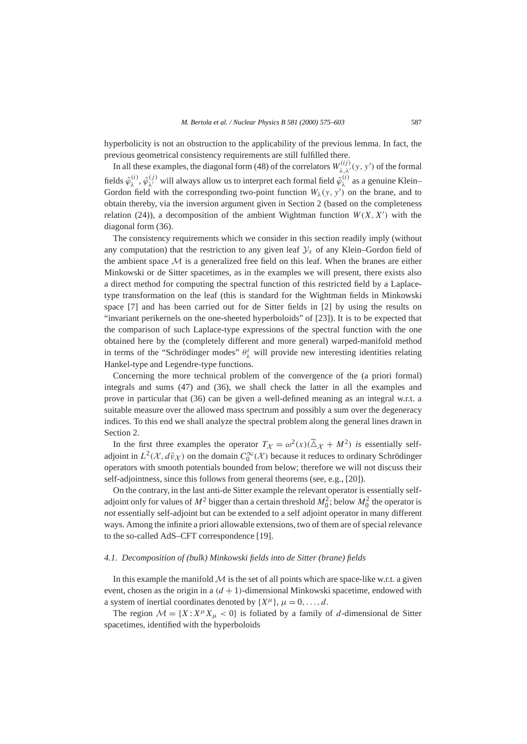hyperbolicity is not an obstruction to the applicability of the previous lemma. In fact, the previous geometrical consistency requirements are still fulfilled there.

In all these examples, the diagonal form (48) of the correlators  $W_{\lambda,\lambda'}^{(ij)}(y, y')$  of the formal fields  $\hat{\varphi}_{\lambda}^{(i)}$ ,  $\hat{\varphi}_{\lambda'}^{(j)}$  will always allow us to interpret each formal field  $\hat{\varphi}_{\lambda}^{(i)}$  as a genuine Klein– Gordon field with the corresponding two-point function  $W_\lambda(y, y')$  on the brane, and to obtain thereby, via the inversion argument given in Section 2 (based on the completeness relation (24)), a decomposition of the ambient Wightman function  $W(X, X')$  with the diagonal form (36).

The consistency requirements which we consider in this section readily imply (without any computation) that the restriction to any given leaf  $\mathcal{Y}_x$  of any Klein–Gordon field of the ambient space  $\mathcal M$  is a generalized free field on this leaf. When the branes are either Minkowski or de Sitter spacetimes, as in the examples we will present, there exists also a direct method for computing the spectral function of this restricted field by a Laplacetype transformation on the leaf (this is standard for the Wightman fields in Minkowski space [7] and has been carried out for de Sitter fields in [2] by using the results on "invariant perikernels on the one-sheeted hyperboloids" of [23]). It is to be expected that the comparison of such Laplace-type expressions of the spectral function with the one obtained here by the (completely different and more general) warped-manifold method in terms of the "Schrödinger modes"  $\theta^i_\lambda$  will provide new interesting identities relating Hankel-type and Legendre-type functions.

Concerning the more technical problem of the convergence of the (a priori formal) integrals and sums (47) and (36), we shall check the latter in all the examples and prove in particular that (36) can be given a well-defined meaning as an integral w.r.t. a suitable measure over the allowed mass spectrum and possibly a sum over the degeneracy indices. To this end we shall analyze the spectral problem along the general lines drawn in Section 2.

In the first three examples the operator  $T_{\mathcal{X}} = \omega^2(x)(\widetilde{\Delta}_{\mathcal{X}} + M^2)$  *is* essentially selfadjoint in  $L^2(\mathcal{X}, d\tilde{\nu}_\mathcal{X})$  on the domain  $C_0^\infty(\mathcal{X})$  because it reduces to ordinary Schrödinger operators with smooth potentials bounded from below; therefore we will not discuss their self-adjointness, since this follows from general theorems (see, e.g., [20]).

On the contrary, in the last anti-de Sitter example the relevant operator is essentially selfadjoint only for values of  $M^2$  bigger than a certain threshold  $M_0^2$ ; below  $M_0^2$  the operator is *not* essentially self-adjoint but can be extended to a self adjoint operator in many different ways. Among the infinite a priori allowable extensions, two of them are of special relevance to the so-called AdS–CFT correspondence [19].

#### *4.1. Decomposition of (bulk) Minkowski fields into de Sitter (brane) fields*

In this example the manifold  $M$  is the set of all points which are space-like w.r.t. a given event, chosen as the origin in a  $(d + 1)$ -dimensional Minkowski spacetime, endowed with a system of inertial coordinates denoted by  $\{X^{\mu}\}, \mu = 0, \ldots, d$ .

The region  $\mathcal{M} = \{X : X^{\mu}X_{\mu} < 0\}$  is foliated by a family of *d*-dimensional de Sitter spacetimes, identified with the hyperboloids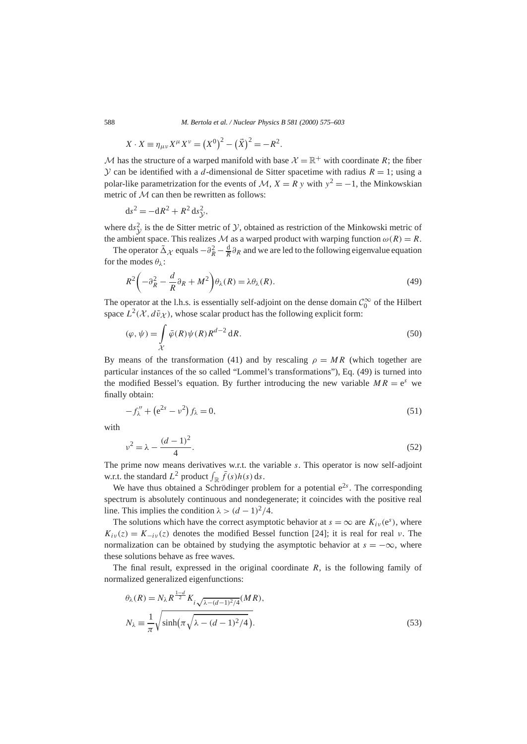588 *M. Bertola et al. / Nuclear Physics B 581 (2000) 575–603*

$$
X \cdot X \equiv \eta_{\mu\nu} X^{\mu} X^{\nu} = (X^{0})^{2} - (\vec{X})^{2} = -R^{2}.
$$

M has the structure of a warped manifold with base  $\mathcal{X} = \mathbb{R}^+$  with coordinate R; the fiber  $\mathcal Y$  can be identified with a *d*-dimensional de Sitter spacetime with radius  $R = 1$ ; using a polar-like parametrization for the events of  $\mathcal{M}, X = R$  y with  $y^2 = -1$ , the Minkowskian metric of M can then be rewritten as follows:

$$
ds^2 = -dR^2 + R^2 ds_y^2,
$$

where  $ds^2$  is the de Sitter metric of *y*, obtained as restriction of the Minkowski metric of the ambient space. This realizes M as a warped product with warping function  $\omega(R) = R$ .

The operator  $\tilde{\Delta}_{\mathcal{X}}$  equals  $-\partial_R^2 - \frac{d}{R}\partial_R$  and we are led to the following eigenvalue equation for the modes *θλ*:

$$
R^{2}\left(-\partial_{R}^{2} - \frac{d}{R}\partial_{R} + M^{2}\right)\theta_{\lambda}(R) = \lambda\theta_{\lambda}(R). \tag{49}
$$

The operator at the l.h.s. is essentially self-adjoint on the dense domain  $\mathcal{C}_0^{\infty}$  of the Hilbert space  $L^2(\mathcal{X}, d\tilde{\nu}_{\mathcal{X}})$ , whose scalar product has the following explicit form:

$$
(\varphi, \psi) = \int_{\mathcal{X}} \bar{\varphi}(R)\psi(R)R^{d-2} dR.
$$
 (50)

By means of the transformation (41) and by rescaling  $\rho = MR$  (which together are particular instances of the so called "Lommel's transformations"), Eq. (49) is turned into the modified Bessel's equation. By further introducing the new variable  $MR = e<sup>s</sup>$  we finally obtain:

$$
-f_{\lambda}'' + (e^{2s} - \nu^2) f_{\lambda} = 0, \tag{51}
$$

with

$$
v^2 = \lambda - \frac{(d-1)^2}{4}.\tag{52}
$$

The prime now means derivatives w.r.t. the variable *s*. This operator is now self-adjoint w.r.t. the standard  $L^2$  product  $\int_{\mathbb{R}} \bar{f}(s)h(s) ds$ .

We have thus obtained a Schrödinger problem for a potential  $e^{2s}$ . The corresponding spectrum is absolutely continuous and nondegenerate; it coincides with the positive real line. This implies the condition  $\lambda > (d-1)^2/4$ .

The solutions which have the correct asymptotic behavior at  $s = \infty$  are  $K_{iv}(e^s)$ , where  $K_{i\nu}(z) = K_{-i\nu}(z)$  denotes the modified Bessel function [24]; it is real for real *ν*. The normalization can be obtained by studying the asymptotic behavior at  $s = -\infty$ , where these solutions behave as free waves.

The final result, expressed in the original coordinate *R*, is the following family of normalized generalized eigenfunctions:

$$
\theta_{\lambda}(R) = N_{\lambda} R^{\frac{1-d}{2}} K_{i\sqrt{\lambda - (d-1)^2/4}}(MR),
$$
  

$$
N_{\lambda} \equiv \frac{1}{\pi} \sqrt{\sinh\left(\pi \sqrt{\lambda - (d-1)^2/4}\right)}.
$$
 (53)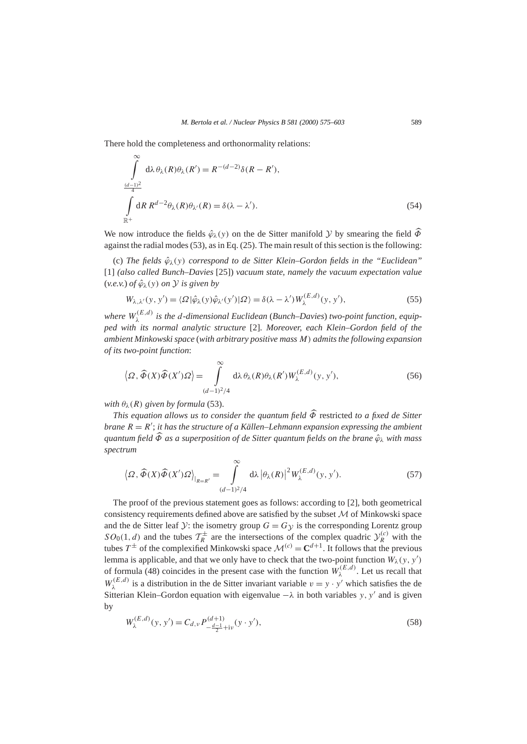There hold the completeness and orthonormality relations:

$$
\int_{\frac{(d-1)^2}{\mathbb{R}^+}}^{\infty} d\lambda \theta_{\lambda}(R) \theta_{\lambda}(R') = R^{-(d-2)} \delta(R - R'),
$$
\n
$$
\int_{\mathbb{R}^+} dR R^{d-2} \theta_{\lambda}(R) \theta_{\lambda'}(R) = \delta(\lambda - \lambda').
$$
\n(54)

We now introduce the fields  $\hat{\varphi}_{\lambda}(y)$  on the de Sitter manifold *y* by smearing the field  $\hat{\varphi}$ against the radial modes (53), as in Eq. (25). The main result of this section is the following:

(c) *The fields ϕ*ˆ*λ(y) correspond to de Sitter Klein–Gordon fields in the "Euclidean"* [1] *(also called Bunch–Davies* [25]) *vacuum state, namely the vacuum expectation value*  $(v.e.v.)$  *of*  $\hat{\varphi}_{\lambda}(v)$  *on*  $\hat{y}$  *is given by* 

$$
W_{\lambda,\lambda'}(y,y') = \langle \Omega | \hat{\varphi}_{\lambda}(y) \hat{\varphi}_{\lambda'}(y') | \Omega \rangle = \delta(\lambda - \lambda') W_{\lambda}^{(E,d)}(y,y'), \tag{55}
$$

*where W(E,d) <sup>λ</sup> is the d-dimensional Euclidean* (*Bunch–Davies*) *two-point function, equipped with its normal analytic structure* [2]*. Moreover, each Klein–Gordon field of the ambient Minkowski space* (*with arbitrary positive mass M) admits the following expansion of its two-point function*:

$$
\langle \Omega, \widehat{\Phi}(X)\widehat{\Phi}(X')\Omega \rangle = \int_{(d-1)^2/4}^{\infty} d\lambda \,\theta_{\lambda}(R)\theta_{\lambda}(R')W_{\lambda}^{(E,d)}(y, y'), \tag{56}
$$

*with*  $\theta_{\lambda}(R)$  *given by formula* (53).

*This equation allows us to consider the quantum field Φ*b restricted *to a fixed de Sitter* brane  $R = R'$ ; *it has the structure of a Källen–Lehmann expansion expressing the ambient quantum field*  $\widehat{\Phi}$  *as a superposition of de Sitter quantum fields on the brane*  $\widehat{\phi}$ <sub>λ</sub> *with mass spectrum*

$$
\left\langle \Omega, \widehat{\Phi}(X)\widehat{\Phi}(X')\Omega \right\rangle_{|_{R=R'}} = \int_{(d-1)^2/4}^{\infty} d\lambda \left| \theta_{\lambda}(R) \right|^2 W_{\lambda}^{(E,d)}(y, y'). \tag{57}
$$

The proof of the previous statement goes as follows: according to [2], both geometrical consistency requirements defined above are satisfied by the subset  $M$  of Minkowski space and the de Sitter leaf  $Y$ : the isometry group  $G = G_Y$  is the corresponding Lorentz group  $SO_0(1,d)$  and the tubes  $\mathcal{T}_R^{\pm}$  are the intersections of the complex quadric  $\mathcal{Y}_R^{(c)}$  with the tubes  $T^{\pm}$  of the complexified Minkowski space  $\mathcal{M}^{(c)} = \mathbb{C}^{d+1}$ . It follows that the previous lemma is applicable, and that we only have to check that the two-point function  $W_\lambda(y, y')$ of formula (48) coincides in the present case with the function  $W_{\lambda}^{(E,d)}$ . Let us recall that  $W_{\lambda}^{(E,d)}$  is a distribution in the de Sitter invariant variable  $v = y \cdot y'$  which satisfies the de Sitterian Klein–Gordon equation with eigenvalue  $−λ$  in both variables *y*, *y'* and is given by

$$
W_{\lambda}^{(E,d)}(y, y') = C_{d,\nu} P_{-\frac{d-1}{2} + i\nu}^{(d+1)}(y \cdot y'),\tag{58}
$$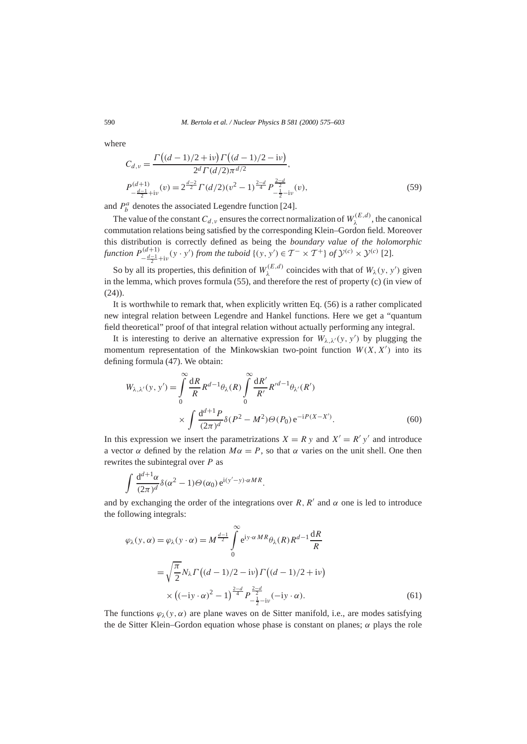where

$$
C_{d,\nu} = \frac{\Gamma\left((d-1)/2 + \mathrm{i}\nu\right)\Gamma\left((d-1)/2 - \mathrm{i}\nu\right)}{2^d \Gamma(d/2)\pi^{d/2}},
$$
\n
$$
P_{-\frac{d-1}{2} + \mathrm{i}\nu}^{(d+1)}(v) = 2^{\frac{d-2}{2}} \Gamma(d/2)(v^2 - 1)^{\frac{2-d}{4}} P_{-\frac{1}{2} - \mathrm{i}\nu}^{\frac{2-d}{2}}(v),
$$
\n(59)

and  $P_b^a$  denotes the associated Legendre function [24].

The value of the constant  $C_{d,\nu}$  ensures the correct normalization of  $W_{\lambda}^{(E,d)}$ , the canonical commutation relations being satisfied by the corresponding Klein–Gordon field. Moreover this distribution is correctly defined as being the *boundary value of the holomorphic function*  $P_{-\frac{d-1}{2}+i\nu}^{(d+1)}(y \cdot y')$  *from the tuboid*  $\{(y, y') \in T^- \times T^+ \}$  *of*  $\mathcal{Y}^{(c)} \times \mathcal{Y}^{(c)}$  [2].

So by all its properties, this definition of  $W_{\lambda}^{(E,d)}$  coincides with that of  $W_{\lambda}(y, y')$  given in the lemma, which proves formula (55), and therefore the rest of property (c) (in view of  $(24)$ ).

It is worthwhile to remark that, when explicitly written Eq. (56) is a rather complicated new integral relation between Legendre and Hankel functions. Here we get a "quantum field theoretical" proof of that integral relation without actually performing any integral.

It is interesting to derive an alternative expression for  $W_{\lambda,\lambda}(y, y')$  by plugging the momentum representation of the Minkowskian two-point function  $W(X, X')$  into its defining formula (47). We obtain:

$$
W_{\lambda,\lambda'}(y, y') = \int_{0}^{\infty} \frac{dR}{R} R^{d-1} \theta_{\lambda}(R) \int_{0}^{\infty} \frac{dR'}{R'} R'^{d-1} \theta_{\lambda'}(R')
$$
  
 
$$
\times \int \frac{d^{d+1} P}{(2\pi)^{d}} \delta(P^2 - M^2) \Theta(P_0) e^{-iP(X-X')}.
$$
 (60)

In this expression we insert the parametrizations  $X = R y$  and  $X' = R'y'$  and introduce a vector *α* defined by the relation  $Mα = P$ , so that *α* varies on the unit shell. One then rewrites the subintegral over *P* as

$$
\int \frac{\mathrm{d}^{d+1}\alpha}{(2\pi)^d} \delta(\alpha^2 - 1) \Theta(\alpha_0) \,\mathrm{e}^{\mathrm{i}(y'-y)\cdot\alpha MR}.
$$

and by exchanging the order of the integrations over *R*,  $R'$  and  $\alpha$  one is led to introduce the following integrals:

$$
\varphi_{\lambda}(y,\alpha) = \varphi_{\lambda}(y \cdot \alpha) = M^{\frac{d-1}{2}} \int_{0}^{\infty} e^{iy \cdot \alpha MR} \theta_{\lambda}(R) R^{d-1} \frac{dR}{R}
$$

$$
= \sqrt{\frac{\pi}{2}} N_{\lambda} \Gamma\left((d-1)/2 - i\nu\right) \Gamma\left((d-1)/2 + i\nu\right)
$$

$$
\times \left((-iy \cdot \alpha)^{2} - 1\right)^{\frac{2-d}{4}} P^{\frac{2-d}{2}}_{-\frac{1}{2}-i\nu}(-iy \cdot \alpha). \tag{61}
$$

The functions  $\varphi_{\lambda}(y, \alpha)$  are plane waves on de Sitter manifold, i.e., are modes satisfying the de Sitter Klein–Gordon equation whose phase is constant on planes;  $\alpha$  plays the role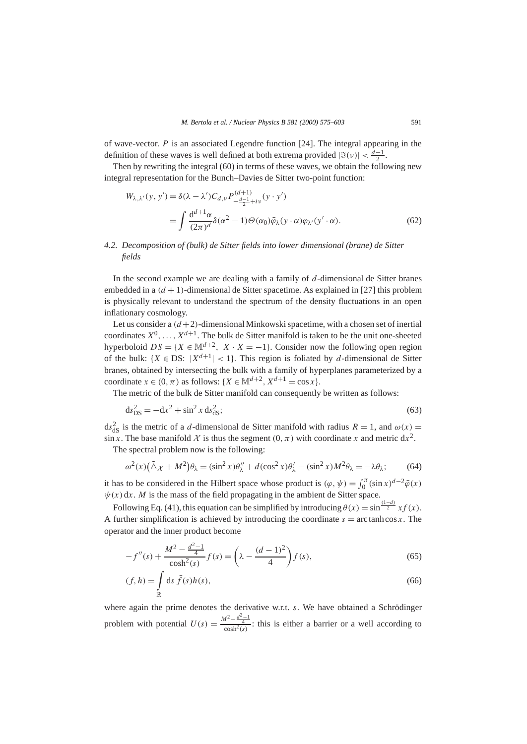of wave-vector. *P* is an associated Legendre function [24]. The integral appearing in the definition of these waves is well defined at both extrema provided  $|\Im(v)| < \frac{d-1}{2}$ .

Then by rewriting the integral (60) in terms of these waves, we obtain the following new integral representation for the Bunch–Davies de Sitter two-point function:

$$
W_{\lambda,\lambda'}(y, y') = \delta(\lambda - \lambda')C_{d,\nu} P_{-\frac{d-1}{2}+i\nu}^{(d+1)}(y \cdot y')
$$
  
= 
$$
\int \frac{d^{d+1}\alpha}{(2\pi)^d} \delta(\alpha^2 - 1)\Theta(\alpha_0)\bar{\varphi}_{\lambda}(y \cdot \alpha)\varphi_{\lambda'}(y' \cdot \alpha).
$$
 (62)

# *4.2. Decomposition of (bulk) de Sitter fields into lower dimensional (brane) de Sitter fields*

In the second example we are dealing with a family of *d*-dimensional de Sitter branes embedded in a  $(d + 1)$ -dimensional de Sitter spacetime. As explained in [27] this problem is physically relevant to understand the spectrum of the density fluctuations in an open inflationary cosmology.

Let us consider a  $(d+2)$ -dimensional Minkowski spacetime, with a chosen set of inertial coordinates  $X^0, \ldots, X^{d+1}$ . The bulk de Sitter manifold is taken to be the unit one-sheeted hyperboloid  $DS = \{X \in \mathbb{M}^{d+2}, X \cdot X = -1\}$ . Consider now the following open region of the bulk:  ${X \in DS: |X^{d+1}| < 1}$ . This region is foliated by *d*-dimensional de Sitter branes, obtained by intersecting the bulk with a family of hyperplanes parameterized by a coordinate  $x \in (0, \pi)$  as follows:  $\{X \in \mathbb{M}^{d+2}, X^{d+1} = \cos x\}.$ 

The metric of the bulk de Sitter manifold can consequently be written as follows:

$$
ds_{\text{DS}}^2 = -dx^2 + \sin^2 x \, ds_{\text{dS}}^2; \tag{63}
$$

 $ds_{dS}^2$  is the metric of a *d*-dimensional de Sitter manifold with radius  $R = 1$ , and  $\omega(x) =$ sin *x*. The base manifold  $\chi$  is thus the segment  $(0, \pi)$  with coordinate *x* and metric dx<sup>2</sup>.

The spectral problem now is the following:

$$
\omega^2(x)\left(\tilde{\Delta}\chi + M^2\right)\theta_\lambda = (\sin^2 x)\theta''_\lambda + d(\cos^2 x)\theta'_\lambda - (\sin^2 x)M^2\theta_\lambda = -\lambda\theta_\lambda;\tag{64}
$$

it has to be considered in the Hilbert space whose product is  $(\varphi, \psi) = \int_0^{\pi} (\sin x)^{d-2} \bar{\varphi}(x)$  $\psi(x)$  dx. *M* is the mass of the field propagating in the ambient de Sitter space.

Following Eq. (41), this equation can be simplified by introducing  $\theta(x) = \sin^{\frac{(1-d)}{2}} x f(x)$ . A further simplification is achieved by introducing the coordinate  $s = \arctanh \cos x$ . The operator and the inner product become

$$
-f''(s) + \frac{M^2 - \frac{d^2 - 1}{4}}{\cosh^2(s)} f(s) = \left(\lambda - \frac{(d-1)^2}{4}\right) f(s),\tag{65}
$$

$$
(f,h) = \int_{\mathbb{R}} \mathrm{d}s \,\bar{f}(s)h(s),\tag{66}
$$

where again the prime denotes the derivative w.r.t. *s*. We have obtained a Schrödinger problem with potential  $U(s) = \frac{M^2 - \frac{d^2 - 1}{4}}{\cosh^2(s)}$ : this is either a barrier or a well according to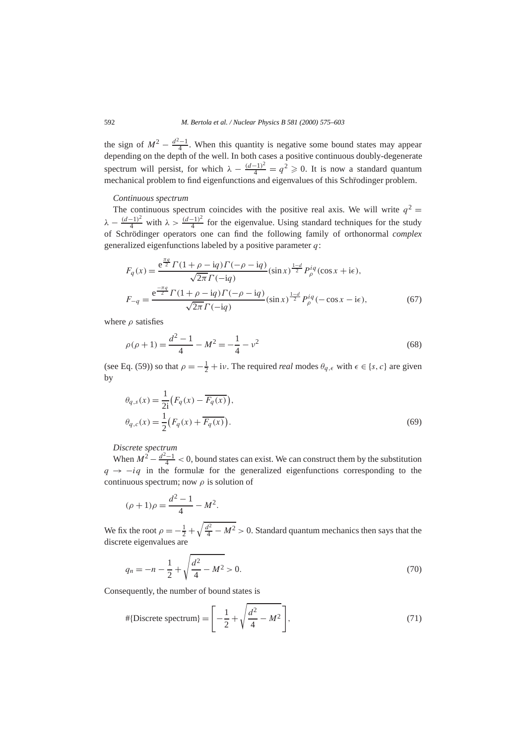the sign of  $M^2 - \frac{d^2-1}{4}$ . When this quantity is negative some bound states may appear depending on the depth of the well. In both cases a positive continuous doubly-degenerate spectrum will persist, for which  $\lambda - \frac{(d-1)^2}{4} = q^2 \geq 0$ . It is now a standard quantum mechanical problem to find eigenfunctions and eigenvalues of this Schrodinger problem.

#### *Continuous spectrum*

The continuous spectrum coincides with the positive real axis. We will write  $q^2 =$  $\lambda - \frac{(d-1)^2}{4}$  with  $\lambda > \frac{(d-1)^2}{4}$  for the eigenvalue. Using standard techniques for the study of Schrödinger operators one can find the following family of orthonormal *complex* generalized eigenfunctions labeled by a positive parameter *q*:

$$
F_q(x) = \frac{e^{\frac{\pi q}{2}} \Gamma(1 + \rho - iq) \Gamma(-\rho - iq)}{\sqrt{2\pi} \Gamma(-iq)} (\sin x)^{\frac{1-d}{2}} P_\rho^{iq} (\cos x + i\epsilon),
$$
  
\n
$$
F_{-q} = \frac{e^{\frac{-\pi q}{2}} \Gamma(1 + \rho - iq) \Gamma(-\rho - iq)}{\sqrt{2\pi} \Gamma(-iq)} (\sin x)^{\frac{1-d}{2}} P_\rho^{iq}(-\cos x - i\epsilon),
$$
 (67)

where *ρ* satisfies

$$
\rho(\rho + 1) = \frac{d^2 - 1}{4} - M^2 = -\frac{1}{4} - \nu^2
$$
\n(68)

(see Eq. (59)) so that  $\rho = -\frac{1}{2} + i\nu$ . The required *real* modes  $\theta_{q,\epsilon}$  with  $\epsilon \in \{s, c\}$  are given by

$$
\theta_{q,s}(x) = \frac{1}{2i} \left( F_q(x) - \overline{F_q(x)} \right), \n\theta_{q,c}(x) = \frac{1}{2} \left( F_q(x) + \overline{F_q(x)} \right).
$$
\n(69)

*Discrete spectrum*

When  $M^2 - \frac{d^2 - 1}{4} < 0$ , bound states can exist. We can construct them by the substitution  $q \rightarrow -iq$  in the formulæ for the generalized eigenfunctions corresponding to the continuous spectrum; now *ρ* is solution of

$$
(\rho + 1)\rho = \frac{d^2 - 1}{4} - M^2.
$$

We fix the root  $\rho = -\frac{1}{2} + \sqrt{\frac{d^2}{4} - M^2} > 0$ . Standard quantum mechanics then says that the discrete eigenvalues are

$$
q_n = -n - \frac{1}{2} + \sqrt{\frac{d^2}{4} - M^2} > 0.
$$
\n(70)

Consequently, the number of bound states is

$$
\# \{ \text{Discrete spectrum} \} = \left[ -\frac{1}{2} + \sqrt{\frac{d^2}{4} - M^2} \right],\tag{71}
$$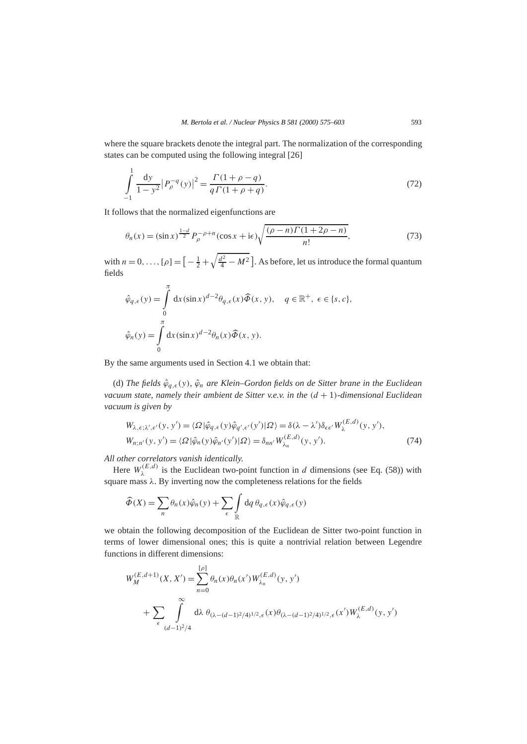where the square brackets denote the integral part. The normalization of the corresponding states can be computed using the following integral [26]

$$
\int_{-1}^{1} \frac{dy}{1 - y^2} |P_{\rho}^{-q}(y)|^2 = \frac{\Gamma(1 + \rho - q)}{q \Gamma(1 + \rho + q)}.
$$
\n(72)

It follows that the normalized eigenfunctions are

$$
\theta_n(x) = (\sin x)^{\frac{1-d}{2}} P_{\rho}^{-\rho+n} (\cos x + i\epsilon) \sqrt{\frac{(\rho - n)\Gamma(1 + 2\rho - n)}{n!}},
$$
\n(73)

with  $n = 0, ..., [\rho] = \left[ -\frac{1}{2} + \sqrt{\frac{d^2}{4} - M^2} \right]$ . As before, let us introduce the formal quantum fields

$$
\hat{\varphi}_{q,\epsilon}(y) = \int_{0}^{\pi} dx (\sin x)^{d-2} \theta_{q,\epsilon}(x) \hat{\varPhi}(x, y), \quad q \in \mathbb{R}^{+}, \epsilon \in \{s, c\},
$$

$$
\hat{\varphi}_n(y) = \int_{0}^{\pi} dx (\sin x)^{d-2} \theta_n(x) \hat{\varPhi}(x, y).
$$

By the same arguments used in Section 4.1 we obtain that:

(d) *The fields ϕ*ˆ*q, (y), ϕ*ˆ*<sup>n</sup> are Klein–Gordon fields on de Sitter brane in the Euclidean vacuum state, namely their ambient de Sitter v.e.v. in the (d* + 1*)-dimensional Euclidean vacuum is given by*

$$
W_{\lambda,\epsilon;\lambda',\epsilon'}(y,y') = \langle \Omega | \hat{\varphi}_{q,\epsilon}(y) \hat{\varphi}_{q',\epsilon'}(y') | \Omega \rangle = \delta(\lambda - \lambda') \delta_{\epsilon \epsilon'} W_{\lambda}^{(E,d)}(y,y'),
$$
  
\n
$$
W_{n;n'}(y,y') = \langle \Omega | \hat{\varphi}_n(y) \hat{\varphi}_{n'}(y') | \Omega \rangle = \delta_{nn'} W_{\lambda_n}^{(E,d)}(y,y').
$$
\n(74)

*All other correlators vanish identically.*

Here  $W_{\lambda}^{(E,d)}$  is the Euclidean two-point function in *d* dimensions (see Eq. (58)) with square mass *λ*. By inverting now the completeness relations for the fields

$$
\widehat{\Phi}(X) = \sum_{n} \theta_n(x) \widehat{\varphi}_n(y) + \sum_{\epsilon} \int_{\mathbb{R}} dq \, \theta_{q,\epsilon}(x) \widehat{\varphi}_{q,\epsilon}(y)
$$

we obtain the following decomposition of the Euclidean de Sitter two-point function in terms of lower dimensional ones; this is quite a nontrivial relation between Legendre functions in different dimensions:

$$
W_M^{(E,d+1)}(X, X') = \sum_{n=0}^{[\rho]} \theta_n(x) \theta_n(x') W_{\lambda_n}^{(E,d)}(y, y')
$$
  
+ 
$$
\sum_{\epsilon} \int_{(d-1)^2/4}^{\infty} d\lambda \theta_{(\lambda - (d-1)^2/4)^{1/2}, \epsilon}(x') \theta_{(\lambda - (d-1)^2/4)^{1/2}, \epsilon}(x') W_{\lambda}^{(E,d)}(y, y')
$$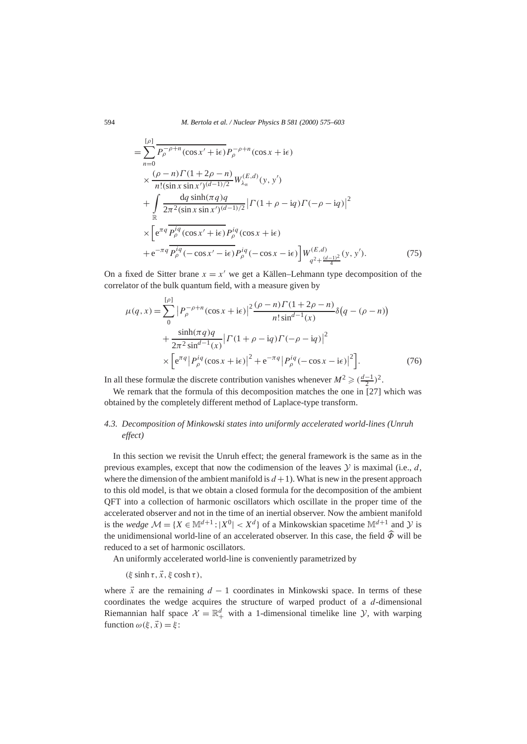$$
= \sum_{n=0}^{\lfloor \rho \rfloor} \frac{P_{\rho}^{-\rho+n}(\cos x' + i\epsilon) P_{\rho}^{-\rho+n}(\cos x + i\epsilon)}{P_{\rho}^{-\rho+n}(\sin x \sin x')^{(d-1)/2}} W_{\lambda_n}^{(E,d)}(y, y') + \int \frac{dq \sinh(\pi q)q}{2\pi^2 (\sin x \sin x')^{(d-1)/2}} | \Gamma(1 + \rho - iq) \Gamma(-\rho - iq) |^2 \times \left[ e^{\pi q} \frac{P_{\rho}^{iq}(\cos x' + i\epsilon) P_{\rho}^{iq}(\cos x + i\epsilon)}{P_{\rho}^{-\rho}(\cos x' - i\epsilon) P_{\rho}^{iq}(-\cos x - i\epsilon)} \right] W_{q^2 + \frac{(d-1)^2}{4}}^{(E,d)}(y, y'). \tag{75}
$$

On a fixed de Sitter brane  $x = x<sup>0</sup>$  we get a Källen–Lehmann type decomposition of the correlator of the bulk quantum field, with a measure given by

$$
\mu(q, x) = \sum_{0}^{\lceil \rho \rceil} \left| P_{\rho}^{-\rho + n} (\cos x + i\epsilon) \right|^2 \frac{(\rho - n)\Gamma(1 + 2\rho - n)}{n!\sin^{d-1}(x)} \delta(q - (\rho - n)) + \frac{\sinh(\pi q)q}{2\pi^2 \sin^{d-1}(x)} \left| \Gamma(1 + \rho - iq)\Gamma(-\rho - iq) \right|^2 \times \left[ e^{\pi q} \left| P_{\rho}^{iq} (\cos x + i\epsilon) \right|^2 + e^{-\pi q} \left| P_{\rho}^{iq} (-\cos x - i\epsilon) \right|^2 \right].
$$
 (76)

In all these formulæ the discrete contribution vanishes whenever  $M^2 \geq (\frac{d-1}{2})^2$ .

We remark that the formula of this decomposition matches the one in [27] which was obtained by the completely different method of Laplace-type transform.

# *4.3. Decomposition of Minkowski states into uniformly accelerated world-lines (Unruh effect)*

In this section we revisit the Unruh effect; the general framework is the same as in the previous examples, except that now the codimension of the leaves  $Y$  is maximal (i.e., *d*, where the dimension of the ambient manifold is  $d + 1$ ). What is new in the present approach to this old model, is that we obtain a closed formula for the decomposition of the ambient QFT into a collection of harmonic oscillators which oscillate in the proper time of the accelerated observer and not in the time of an inertial observer. Now the ambient manifold is the *wedge*  $M = \{X \in \mathbb{M}^{d+1} : |X^0| < X^d\}$  of a Minkowskian spacetime  $\mathbb{M}^{d+1}$  and Y is the unidimensional world-line of an accelerated observer. In this case, the field  $\hat{\Phi}$  will be reduced to a set of harmonic oscillators.

An uniformly accelerated world-line is conveniently parametrized by

 $(\xi \sinh \tau, \vec{x}, \xi \cosh \tau),$ 

where  $\vec{x}$  are the remaining  $d - 1$  coordinates in Minkowski space. In terms of these coordinates the wedge acquires the structure of warped product of a *d*-dimensional Riemannian half space  $\mathcal{X} = \mathbb{R}^d_+$  with a 1-dimensional timelike line  $\mathcal{Y}$ , with warping function  $\omega(\xi, \vec{x}) = \xi$ :

[*ρ*]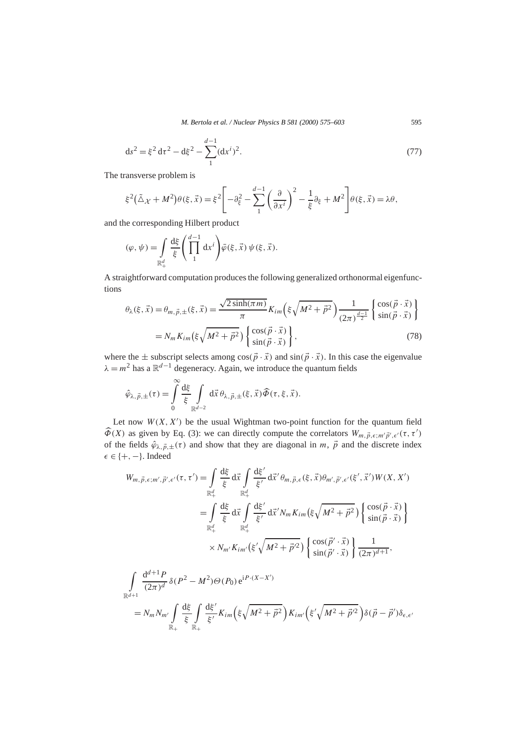*M. Bertola et al. / Nuclear Physics B 581 (2000) 575–603* 595

$$
ds^{2} = \xi^{2} d\tau^{2} - d\xi^{2} - \sum_{1}^{d-1} (dx^{i})^{2}.
$$
 (77)

The transverse problem is

$$
\xi^2(\tilde{\Delta}\chi + M^2)\theta(\xi, \vec{x}) = \xi^2 \left[ -\partial_{\xi}^2 - \sum_{1}^{d-1} \left( \frac{\partial}{\partial x^i} \right)^2 - \frac{1}{\xi} \partial_{\xi} + M^2 \right] \theta(\xi, \vec{x}) = \lambda \theta,
$$

and the corresponding Hilbert product

$$
(\varphi, \psi) = \int\limits_{\mathbb{R}_+^d} \frac{\mathrm{d}\xi}{\xi} \left( \prod\limits_1^{d-1} \mathrm{d}x^i \right) \bar{\varphi}(\xi, \vec{x}) \psi(\xi, \vec{x}).
$$

A straightforward computation produces the following generalized orthonormal eigenfunctions

$$
\theta_{\lambda}(\xi, \vec{x}) = \theta_{m, \vec{p}, \pm}(\xi, \vec{x}) = \frac{\sqrt{2 \sinh(\pi m)}}{\pi} K_{im} \left( \xi \sqrt{M^2 + \vec{p}^2} \right) \frac{1}{(2\pi)^{\frac{d-1}{2}}} \begin{cases} \cos(\vec{p} \cdot \vec{x}) \\ \sin(\vec{p} \cdot \vec{x}) \end{cases}
$$

$$
= N_m K_{im} \left( \xi \sqrt{M^2 + \vec{p}^2} \right) \begin{cases} \cos(\vec{p} \cdot \vec{x}) \\ \sin(\vec{p} \cdot \vec{x}) \end{cases}, \tag{78}
$$

where the  $\pm$  subscript selects among  $\cos(\vec{p} \cdot \vec{x})$  and  $\sin(\vec{p} \cdot \vec{x})$ . In this case the eigenvalue  $\lambda = m^2$  has a  $\mathbb{R}^{d-1}$  degeneracy. Again, we introduce the quantum fields

$$
\hat{\varphi}_{\lambda,\vec{p},\pm}(\tau) = \int\limits_0^\infty \frac{\mathrm{d}\xi}{\xi} \int\limits_{\mathbb{R}^{d-2}} \mathrm{d}\vec{x} \, \theta_{\lambda,\vec{p},\pm}(\xi,\vec{x}) \widehat{\Phi}(\tau,\xi,\vec{x}).
$$

Let now  $W(X, X')$  be the usual Wightman two-point function for the quantum field  $\widehat{\Phi}(X)$  as given by Eq. (3): we can directly compute the correlators  $W_{m, \vec{p}, \epsilon; m'\vec{p}', \epsilon'}(\tau, \tau')$ of the fields  $\hat{\varphi}_{\lambda,\vec{p},\pm}(\tau)$  and show that they are diagonal in *m*,  $\vec{p}$  and the discrete index ∈ {+*,*−}. Indeed

$$
W_{m,\vec{p},\epsilon;m',\vec{p}',\epsilon'}(\tau,\tau') = \int_{\mathbb{R}^d_+} \frac{d\xi}{\xi} d\vec{x} \int_{\mathbb{R}^d_+} \frac{d\xi'}{\xi'} d\vec{x}' \theta_{m,\vec{p},\epsilon}(\xi,\vec{x}) \theta_{m',\vec{p}',\epsilon'}(\xi',\vec{x}') W(X,X')
$$
  
\n
$$
= \int_{\mathbb{R}^d_+} \frac{d\xi}{\xi} d\vec{x} \int_{\mathbb{R}^d_+} \frac{d\xi'}{\xi'} d\vec{x}' N_m K_{im}(\xi \sqrt{M^2 + \vec{p}^2}) \begin{cases} \cos(\vec{p} \cdot \vec{x}) \\ \sin(\vec{p} \cdot \vec{x}) \end{cases}
$$
  
\n
$$
\times N_{m'} K_{im'}(\xi' \sqrt{M^2 + \vec{p}'^2}) \begin{cases} \cos(\vec{p}' \cdot \vec{x}) \\ \sin(\vec{p}' \cdot \vec{x}) \end{cases} \frac{1}{(2\pi)^{d+1}},
$$
  
\n
$$
\int_{\mathbb{R}^d_+} d^{d+1} P_{\xi \leq R^2} M^2 \leq (R) \epsilon^{iP} (X-X')
$$

$$
\int_{\mathbb{R}^{d+1}} \frac{\mathrm{d}^{a+1} P}{(2\pi)^d} \delta(P^2 - M^2) \Theta(P_0) e^{iP \cdot (X - X')}
$$
\n
$$
= N_m N_{m'} \int_{\mathbb{R}_+} \frac{\mathrm{d}\xi}{\xi} \int_{\mathbb{R}_+} \frac{\mathrm{d}\xi'}{\xi'} K_{im} \left( \xi \sqrt{M^2 + \vec{p}^2} \right) K_{im'} \left( \xi' \sqrt{M^2 + \vec{p}'^2} \right) \delta(\vec{p} - \vec{p}') \delta_{\epsilon, \epsilon'}
$$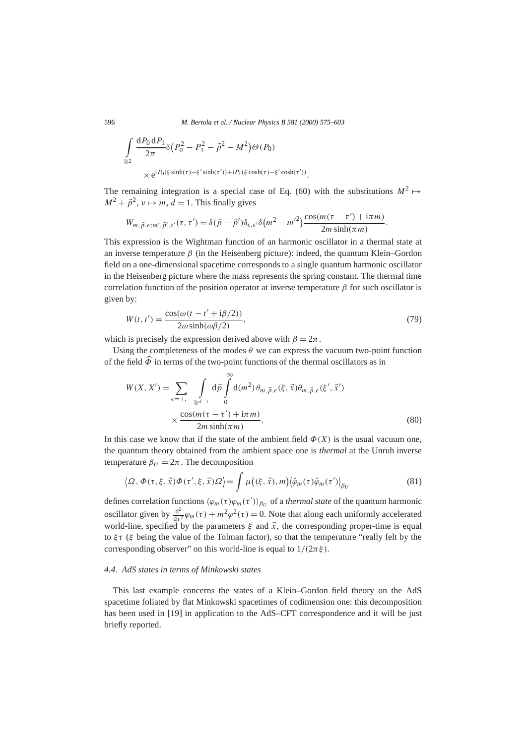596 *M. Bertola et al. / Nuclear Physics B 581 (2000) 575–603*

$$
\int_{\mathbb{R}^2} \frac{\mathrm{d}P_0 \,\mathrm{d}P_1}{2\pi} \delta(P_0^2 - P_1^2 - \vec{p}^2 - M^2) \Theta(P_0)
$$
\n
$$
\times e^{iP_0(\xi \sinh(\tau) - \xi' \sinh(\tau')) + iP_1(\xi \cosh(\tau) - \xi' \cosh(\tau'))}.
$$

The remaining integration is a special case of Eq. (60) with the substitutions  $M^2 \mapsto$  $M^2 + \vec{p}^2$ ,  $\nu \mapsto m$ ,  $d = 1$ . This finally gives

$$
W_{m,\vec{p},\epsilon;m',\vec{p}',\epsilon'}(\tau,\tau') = \delta(\vec{p}-\vec{p}')\delta_{\epsilon,\epsilon'}\delta(m^2-m'^2)\frac{\cos(m(\tau-\tau')+\mathrm{i}\pi m)}{2m\sinh(\pi m)}.
$$

This expression is the Wightman function of an harmonic oscillator in a thermal state at an inverse temperature  $\beta$  (in the Heisenberg picture): indeed, the quantum Klein–Gordon field on a one-dimensional spacetime corresponds to a single quantum harmonic oscillator in the Heisenberg picture where the mass represents the spring constant. The thermal time correlation function of the position operator at inverse temperature *β* for such oscillator is given by:

$$
W(t, t') = \frac{\cos(\omega(t - t' + i\beta/2))}{2\omega \sinh(\omega\beta/2)},
$$
\n(79)

which is precisely the expression derived above with  $\beta = 2\pi$ .

Using the completeness of the modes  $\theta$  we can express the vacuum two-point function of the field  $\widehat{\Phi}$  in terms of the two-point functions of the thermal oscillators as in

$$
W(X, X') = \sum_{\epsilon = +, -} \int_{\mathbb{R}^{d-1}} d\vec{p} \int_{0}^{\infty} d(m^{2}) \theta_{m, \vec{p}, \epsilon}(\xi, \vec{x}) \theta_{m, \vec{p}, \epsilon}(\xi', \vec{x}')
$$

$$
\times \frac{\cos(m(\tau - \tau') + i\pi m)}{2m \sinh(\pi m)}.
$$
(80)

In this case we know that if the state of the ambient field  $\Phi(X)$  is the usual vacuum one, the quantum theory obtained from the ambient space one is *thermal* at the Unruh inverse temperature  $\beta_U = 2\pi$ . The decomposition

$$
\langle \Omega, \Phi(\tau, \xi, \vec{x}) \Phi(\tau', \xi, \vec{x}) \Omega \rangle = \int \mu\big((\xi, \vec{x}), m\big) \langle \hat{\varphi}_m(\tau) \hat{\varphi}_m(\tau') \rangle_{\beta_U}
$$
(81)

defines correlation functions  $\langle \varphi_m(\tau) \varphi_m(\tau') \rangle_{\beta_U}$  of a *thermal state* of the quantum harmonic oscillator given by  $\frac{d^2}{dt^2} \varphi_m(\tau) + m^2 \varphi^2(\tau) = 0$ . Note that along each uniformly accelerated world-line, specified by the parameters  $\xi$  and  $\vec{x}$ , the corresponding proper-time is equal to  $\xi\tau$  ( $\xi$  being the value of the Tolman factor), so that the temperature "really felt by the corresponding observer" on this world-line is equal to  $1/(2\pi\xi)$ .

#### *4.4. AdS states in terms of Minkowski states*

This last example concerns the states of a Klein–Gordon field theory on the AdS spacetime foliated by flat Minkowski spacetimes of codimension one: this decomposition has been used in [19] in application to the AdS–CFT correspondence and it will be just briefly reported.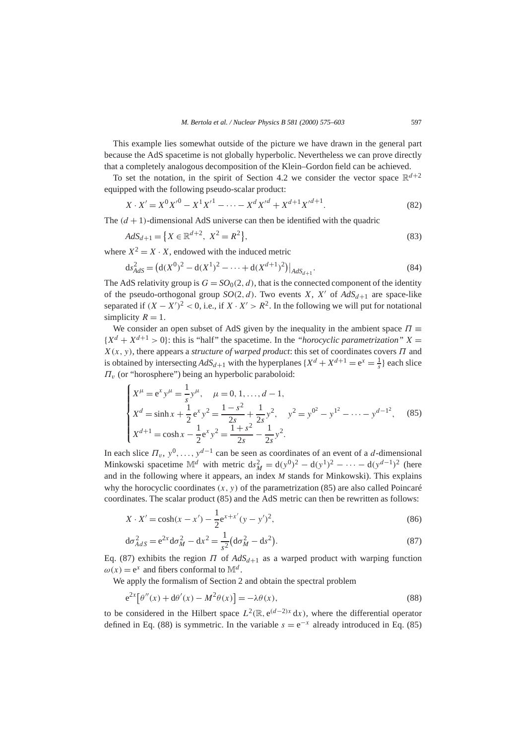This example lies somewhat outside of the picture we have drawn in the general part because the AdS spacetime is not globally hyperbolic. Nevertheless we can prove directly that a completely analogous decomposition of the Klein–Gordon field can be achieved.

To set the notation, in the spirit of Section 4.2 we consider the vector space  $\mathbb{R}^{d+2}$ equipped with the following pseudo-scalar product:

$$
X \cdot X' = X^0 X'^0 - X^1 X'^1 - \dots - X^d X'^d + X^{d+1} X'^{d+1}.
$$
\n(82)

The  $(d + 1)$ -dimensional AdS universe can then be identified with the quadric

$$
AdS_{d+1} = \{ X \in \mathbb{R}^{d+2}, \ X^2 = R^2 \},
$$
\n(83)

where  $X^2 = X \cdot X$ , endowed with the induced metric

$$
ds_{AdS}^2 = (d(X^0)^2 - d(X^1)^2 - \dots + d(X^{d+1})^2)|_{AdS_{d+1}}.
$$
\n(84)

The AdS relativity group is  $G = SO_0(2, d)$ , that is the connected component of the identity of the pseudo-orthogonal group  $SO(2, d)$ . Two events *X*, *X'* of  $AdS_{d+1}$  are space-like separated if  $(X - X')^2 < 0$ , i.e., if  $X \cdot X' > R^2$ . In the following we will put for notational simplicity  $R = 1$ .

We consider an open subset of AdS given by the inequality in the ambient space  $\Pi$  ${X^d + X^{d+1} > 0}$ : this is "half" the spacetime. In the "*horocyclic parametrization*"  $X =$ *X(x, y)*, there appears a *structure of warped product*: this set of coordinates covers *Π* and is obtained by intersecting  $AdS_{d+1}$  with the hyperplanes  $\{X^d + X^{d+1} = e^x = \frac{1}{s}\}\)$  each slice *Πv* (or "horosphere") being an hyperbolic paraboloid:

$$
\begin{cases}\nX^{\mu} = e^{x} y^{\mu} = \frac{1}{s} y^{\mu}, \quad \mu = 0, 1, ..., d - 1, \\
X^{d} = \sinh x + \frac{1}{2} e^{x} y^{2} = \frac{1 - s^{2}}{2s} + \frac{1}{2s} y^{2}, \quad y^{2} = y^{0^{2}} - y^{1^{2}} - \dots - y^{d-1^{2}},\n\end{cases}
$$
\n(85)\n
$$
X^{d+1} = \cosh x - \frac{1}{2} e^{x} y^{2} = \frac{1 + s^{2}}{2s} - \frac{1}{2s} y^{2}.
$$

In each slice  $\Pi_v$ ,  $y^0$ , ...,  $y^{d-1}$  can be seen as coordinates of an event of a *d*-dimensional Minkowski spacetime  $\mathbb{M}^d$  with metric  $ds_M^2 = d(y^0)^2 - d(y^1)^2 - \cdots - d(y^{d-1})^2$  (here and in the following where it appears, an index *M* stands for Minkowski). This explains why the horocyclic coordinates  $(x, y)$  of the parametrization (85) are also called Poincaré coordinates. The scalar product (85) and the AdS metric can then be rewritten as follows:

$$
X \cdot X' = \cosh(x - x') - \frac{1}{2} e^{x + x'} (y - y')^2,
$$
\n(86)

$$
d\sigma_{AdS}^2 = e^{2x} d\sigma_M^2 - dx^2 = \frac{1}{s^2} (d\sigma_M^2 - ds^2).
$$
 (87)

Eq. (87) exhibits the region *Π* of  $AdS<sub>d+1</sub>$  as a warped product with warping function  $\omega(x) = e^x$  and fibers conformal to  $\mathbb{M}^d$ .

We apply the formalism of Section 2 and obtain the spectral problem

$$
e^{2x}[\theta''(x) + d\theta'(x) - M^2 \theta(x)] = -\lambda \theta(x),
$$
\n(88)

to be considered in the Hilbert space  $L^2(\mathbb{R}, e^{(d-2)x} dx)$ , where the differential operator defined in Eq. (88) is symmetric. In the variable  $s = e^{-x}$  already introduced in Eq. (85)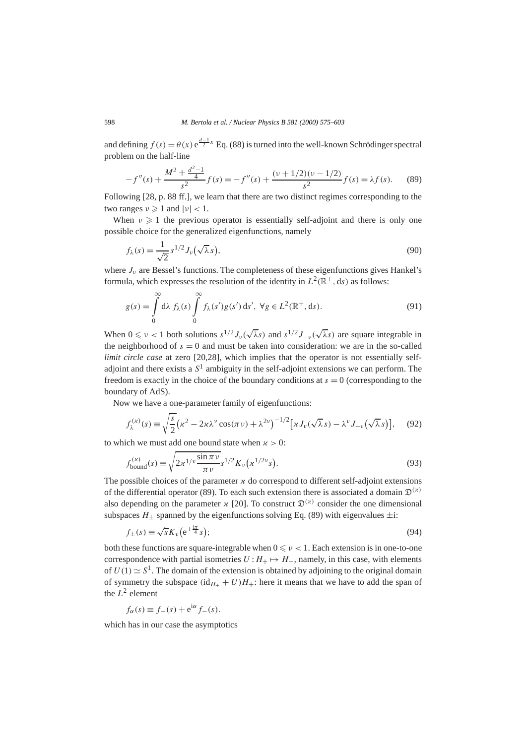and defining  $f(s) = \theta(x) e^{\frac{d-1}{2}x}$  Eq. (88) is turned into the well-known Schrödinger spectral problem on the half-line

$$
-f''(s) + \frac{M^2 + \frac{d^2 - 1}{4}}{s^2} f(s) = -f''(s) + \frac{(\nu + 1/2)(\nu - 1/2)}{s^2} f(s) = \lambda f(s).
$$
 (89)

Following [28, p. 88 ff.], we learn that there are two distinct regimes corresponding to the two ranges  $v \ge 1$  and  $|v| < 1$ .

When  $\nu \geq 1$  the previous operator is essentially self-adjoint and there is only one possible choice for the generalized eigenfunctions, namely

$$
f_{\lambda}(s) = \frac{1}{\sqrt{2}} s^{1/2} J_{\nu}(\sqrt{\lambda} s), \qquad (90)
$$

where  $J_{\nu}$  are Bessel's functions. The completeness of these eigenfunctions gives Hankel's formula, which expresses the resolution of the identity in  $L^2(\mathbb{R}^+, ds)$  as follows:

$$
g(s) = \int_{0}^{\infty} d\lambda f_{\lambda}(s) \int_{0}^{\infty} f_{\lambda}(s') g(s') ds', \ \forall g \in L^{2}(\mathbb{R}^{+}, ds).
$$
 (91)

When  $0 \le v < 1$  both solutions  $s^{1/2} J_v(\sqrt{\lambda} s)$  and  $s^{1/2} J_{-v}(\sqrt{\lambda} s)$  are square integrable in the neighborhood of  $s = 0$  and must be taken into consideration: we are in the so-called *limit circle case* at zero [20,28], which implies that the operator is not essentially selfadjoint and there exists a  $S<sup>1</sup>$  ambiguity in the self-adjoint extensions we can perform. The freedom is exactly in the choice of the boundary conditions at  $s = 0$  (corresponding to the boundary of AdS).

Now we have a one-parameter family of eigenfunctions:

$$
f_{\lambda}^{(\varkappa)}(s) \equiv \sqrt{\frac{s}{2}} \big(\varkappa^2 - 2\varkappa\lambda^{\nu}\cos(\pi\nu) + \lambda^{2\nu}\big)^{-1/2} \big[\varkappa J_{\nu}(\sqrt{\lambda}s) - \lambda^{\nu}J_{-\nu}(\sqrt{\lambda}s)\big],\tag{92}
$$

to which we must add one bound state when  $x > 0$ :

$$
f_{\text{bound}}^{(\varkappa)}(s) \equiv \sqrt{2\kappa^{1/\nu} \frac{\sin \pi \nu}{\pi \nu}} s^{1/2} K_{\nu} (\varkappa^{1/2\nu} s). \tag{93}
$$

The possible choices of the parameter  $\alpha$  do correspond to different self-adjoint extensions of the differential operator (89). To each such extension there is associated a domain  $\mathfrak{D}^{(\alpha)}$ also depending on the parameter  $\chi$  [20]. To construct  $\mathfrak{D}^{(\chi)}$  consider the one dimensional subspaces  $H_+$  spanned by the eigenfunctions solving Eq. (89) with eigenvalues  $\pm i$ :

$$
f_{\pm}(s) \equiv \sqrt{s} K_{\nu} \left( e^{\pm \frac{i\pi}{4}} s \right); \tag{94}
$$

both these functions are square-integrable when  $0 \le v < 1$ . Each extension is in one-to-one correspondence with partial isometries  $U: H_+ \mapsto H_-$ , namely, in this case, with elements of  $U(1) \simeq S^1$ . The domain of the extension is obtained by adjoining to the original domain of symmetry the subspace  $(id_{H+} + U)H_+$ : here it means that we have to add the span of the  $L^2$  element

$$
f_{\alpha}(s) \equiv f_{+}(s) + e^{i\alpha} f_{-}(s).
$$

which has in our case the asymptotics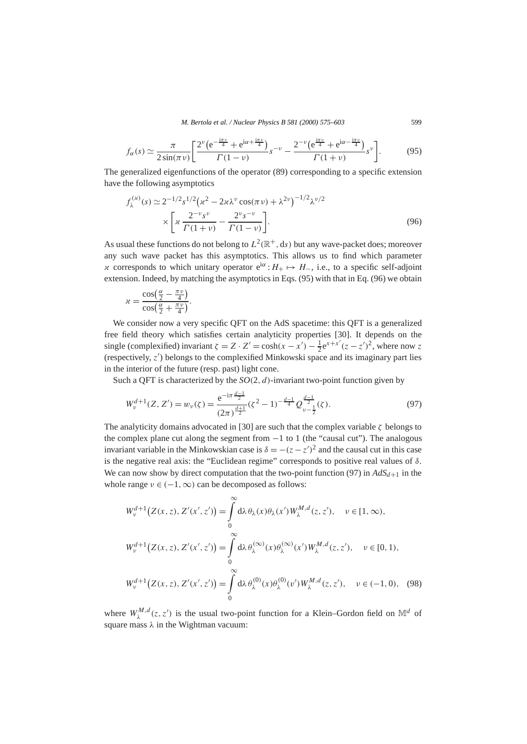*M. Bertola et al. / Nuclear Physics B 581 (2000) 575–603* 599

$$
f_{\alpha}(s) \simeq \frac{\pi}{2\sin(\pi\nu)} \left[ \frac{2^{\nu} \left( e^{-\frac{i\pi\nu}{4}} + e^{i\alpha + \frac{i\pi\nu}{4}} \right)}{\Gamma(1-\nu)} s^{-\nu} - \frac{2^{-\nu} \left( e^{\frac{i\pi\nu}{4}} + e^{i\alpha - \frac{i\pi\nu}{4}} \right)}{\Gamma(1+\nu)} s^{\nu} \right].
$$
 (95)

The generalized eigenfunctions of the operator (89) corresponding to a specific extension have the following asymptotics

$$
f_{\lambda}^{(\alpha)}(s) \simeq 2^{-1/2} s^{1/2} (\kappa^2 - 2\kappa \lambda^{\nu} \cos(\pi \nu) + \lambda^{2\nu})^{-1/2} \lambda^{\nu/2}
$$
  
\$\times \left[ \kappa \frac{2^{-\nu} s^{\nu}}{\Gamma(1+\nu)} - \frac{2^{\nu} s^{-\nu}}{\Gamma(1-\nu)} \right].\$ (96)

As usual these functions do not belong to  $L^2(\mathbb{R}^+, \text{d}s)$  but any wave-packet does; moreover any such wave packet has this asymptotics. This allows us to find which parameter  $\chi$  corresponds to which unitary operator  $e^{i\alpha}$  :  $H_+ \mapsto H_-$ , i.e., to a specific self-adjoint extension. Indeed, by matching the asymptotics in Eqs. (95) with that in Eq. (96) we obtain

$$
\chi = \frac{\cos\left(\frac{\alpha}{2} - \frac{\pi \nu}{4}\right)}{\cos\left(\frac{\alpha}{2} + \frac{\pi \nu}{4}\right)}.
$$

We consider now a very specific QFT on the AdS spacetime: this QFT is a generalized free field theory which satisfies certain analyticity properties [30]. It depends on the single (complexified) invariant  $\zeta = Z \cdot Z' = \cosh(x - x') - \frac{1}{2} e^{x + x'} (z - z')^2$ , where now *z* (respectively,  $z'$ ) belongs to the complexified Minkowski space and its imaginary part lies in the interior of the future (resp. past) light cone.

Such a QFT is characterized by the *SO(*2*,d)*-invariant two-point function given by

$$
W_{\nu}^{d+1}(Z, Z') = w_{\nu}(\zeta) = \frac{e^{-i\pi \frac{d-1}{2}}}{(2\pi)^{\frac{d+1}{2}}} (\zeta^2 - 1)^{-\frac{d-1}{4}} Q_{\nu - \frac{1}{2}}^{\frac{d-1}{2}}(\zeta).
$$
 (97)

The analyticity domains advocated in [30] are such that the complex variable *ζ* belongs to the complex plane cut along the segment from  $-1$  to 1 (the "causal cut"). The analogous invariant variable in the Minkowskian case is  $\delta = -(z - z')^2$  and the causal cut in this case is the negative real axis: the "Euclidean regime" corresponds to positive real values of *δ*. We can now show by direct computation that the two-point function (97) in  $AdS_{d+1}$  in the whole range  $v \in (-1, \infty)$  can be decomposed as follows:

$$
W_{\nu}^{d+1}\big(Z(x,z), Z'(x',z')\big) = \int_{0}^{\infty} d\lambda \,\theta_{\lambda}(x)\theta_{\lambda}(x') W_{\lambda}^{M,d}(z,z'), \quad \nu \in [1, \infty),
$$
  

$$
W_{\nu}^{d+1}\big(Z(x,z), Z'(x',z')\big) = \int_{0}^{\infty} d\lambda \,\theta_{\lambda}^{(\infty)}(x)\theta_{\lambda}^{(\infty)}(x') W_{\lambda}^{M,d}(z,z'), \quad \nu \in [0, 1),
$$
  

$$
W_{\nu}^{d+1}\big(Z(x,z), Z'(x',z')\big) = \int_{0}^{\infty} d\lambda \,\theta_{\lambda}^{(0)}(x)\theta_{\lambda}^{(0)}(v') W_{\lambda}^{M,d}(z,z'), \quad \nu \in (-1, 0), \quad (98)
$$

where  $W_{\lambda}^{M,d}(z, z')$  is the usual two-point function for a Klein–Gordon field on  $\mathbb{M}^d$  of square mass *λ* in the Wightman vacuum: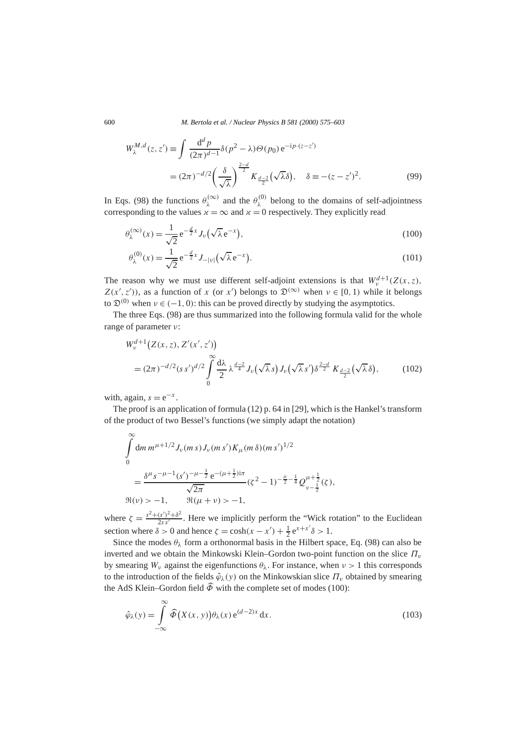600 *M. Bertola et al. / Nuclear Physics B 581 (2000) 575–603*

$$
W_{\lambda}^{M,d}(z, z') \equiv \int \frac{d^d p}{(2\pi)^{d-1}} \delta(p^2 - \lambda) \Theta(p_0) e^{-ip \cdot (z - z')}
$$
  
=  $(2\pi)^{-d/2} \left(\frac{\delta}{\sqrt{\lambda}}\right)^{\frac{2-d}{2}} K_{\frac{d-2}{2}}(\sqrt{\lambda}\delta), \quad \delta \equiv -(z - z')^2.$  (99)

In Eqs. (98) the functions  $\theta_{\lambda}^{(\infty)}$  and the  $\theta_{\lambda}^{(0)}$  belong to the domains of self-adjointness corresponding to the values  $x = \infty$  and  $x = 0$  respectively. They explicitly read

$$
\theta_{\lambda}^{(\infty)}(x) = \frac{1}{\sqrt{2}} e^{-\frac{d}{2}x} J_{\nu}(\sqrt{\lambda} e^{-x}), \qquad (100)
$$

$$
\theta_{\lambda}^{(0)}(x) = \frac{1}{\sqrt{2}} e^{-\frac{d}{2}x} J_{-|\nu|}(\sqrt{\lambda} e^{-x}).
$$
\n(101)

The reason why we must use different self-adjoint extensions is that  $W_v^{d+1}(Z(x, z),$  $Z(x', z')$ ), as a function of *x* (or *x'*) belongs to  $\mathfrak{D}^{(\infty)}$  when  $\nu \in [0, 1)$  while it belongs to  $\mathfrak{D}^{(0)}$  when  $\nu \in (-1, 0)$ : this can be proved directly by studying the asymptotics.

The three Eqs. (98) are thus summarized into the following formula valid for the whole range of parameter *ν*:

$$
W_v^{d+1}\big(Z(x,z), Z'(x',z')\big) = (2\pi)^{-d/2}(ss')^{d/2} \int_{0}^{\infty} \frac{d\lambda}{2} \lambda^{\frac{d-2}{4}} J_\nu(\sqrt{\lambda}s) J_\nu(\sqrt{\lambda}s') \delta^{\frac{2-d}{2}} K_{\frac{d-2}{2}}(\sqrt{\lambda}\delta),
$$
(102)

with, again,  $s = e^{-x}$ .

The proof is an application of formula (12) p. 64 in [29], which is the Hankel's transform of the product of two Bessel's functions (we simply adapt the notation)

$$
\int_{0}^{\infty} dm \, m^{\mu+1/2} J_{\nu}(m \, s) J_{\nu}(m \, s') K_{\mu}(m \, \delta) (m \, s')^{1/2}
$$
\n
$$
= \frac{\delta^{\mu} s^{-\mu-1} (s')^{-\mu-\frac{1}{2}} e^{-(\mu+\frac{1}{2})i\pi}}{\sqrt{2\pi}} (\zeta^{2} - 1)^{-\frac{\mu}{2}-\frac{1}{4}} Q_{\nu-\frac{1}{2}}^{\mu+\frac{1}{2}}(\zeta),
$$
\n
$$
\Re(\nu) > -1, \qquad \Re(\mu + \nu) > -1,
$$

where  $\zeta = \frac{s^2 + (s')^2 + \delta^2}{2s s'}$ . Here we implicitly perform the "Wick rotation" to the Euclidean section where  $\delta > 0$  and hence  $\zeta = \cosh(x - x') + \frac{1}{2} e^{x + x'} \delta > 1$ .

Since the modes  $\theta_{\lambda}$  form a orthonormal basis in the Hilbert space, Eq. (98) can also be inverted and we obtain the Minkowski Klein–Gordon two-point function on the slice  $\Pi$ <sub>*v*</sub> by smearing  $W_v$  against the eigenfunctions  $\theta_\lambda$ . For instance, when  $v > 1$  this corresponds to the introduction of the fields  $\hat{\varphi}_{\lambda}(y)$  on the Minkowskian slice  $\Pi_{v}$  obtained by smearing the AdS Klein–Gordon field  $\widehat{\Phi}$  with the complete set of modes (100):

$$
\hat{\varphi}_{\lambda}(y) = \int_{-\infty}^{\infty} \widehat{\Phi}\big(X(x, y)\big) \theta_{\lambda}(x) e^{(d-2)x} dx.
$$
\n(103)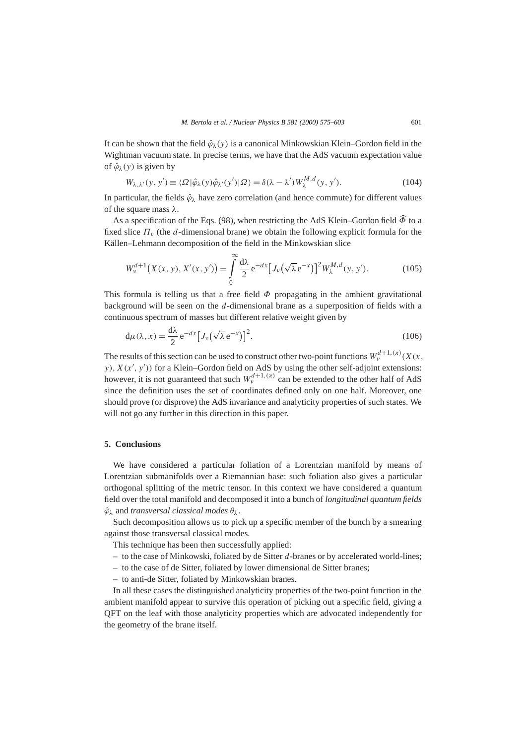It can be shown that the field  $\hat{\varphi}_{\lambda}(y)$  is a canonical Minkowskian Klein–Gordon field in the Wightman vacuum state. In precise terms, we have that the AdS vacuum expectation value of  $\hat{\varphi}_\lambda(y)$  is given by

$$
W_{\lambda,\lambda'}(y,y') \equiv \langle \Omega | \hat{\varphi}_{\lambda}(y) \hat{\varphi}_{\lambda'}(y') | \Omega \rangle = \delta(\lambda - \lambda') W_{\lambda}^{M,d}(y,y'). \tag{104}
$$

In particular, the fields  $\hat{\varphi}_{\lambda}$  have zero correlation (and hence commute) for different values of the square mass *λ*.

As a specification of the Eqs. (98), when restricting the AdS Klein–Gordon field  $\widehat{\Phi}$  to a fixed slice *Πv* (the *d*-dimensional brane) we obtain the following explicit formula for the Källen–Lehmann decomposition of the field in the Minkowskian slice

$$
W_{\nu}^{d+1}\big(X(x, y), X'(x, y')\big) = \int_{0}^{\infty} \frac{d\lambda}{2} e^{-dx} \big[J_{\nu}\big(\sqrt{\lambda} e^{-x}\big)\big]^{2} W_{\lambda}^{M, d}(y, y'). \tag{105}
$$

This formula is telling us that a free field  $\Phi$  propagating in the ambient gravitational background will be seen on the *d*-dimensional brane as a superposition of fields with a continuous spectrum of masses but different relative weight given by

$$
d\mu(\lambda, x) = \frac{d\lambda}{2} e^{-dx} \big[ J_{\nu}(\sqrt{\lambda} e^{-x}) \big]^2.
$$
 (106)

The results of this section can be used to construct other two-point functions  $W_v^{d+1,(x)}(X(x,$  $y$ ),  $X(x', y')$  for a Klein–Gordon field on AdS by using the other self-adjoint extensions: however, it is not guaranteed that such  $W_n^{d+1,(x)}$  can be extended to the other half of AdS since the definition uses the set of coordinates defined only on one half. Moreover, one should prove (or disprove) the AdS invariance and analyticity properties of such states. We will not go any further in this direction in this paper.

#### **5. Conclusions**

We have considered a particular foliation of a Lorentzian manifold by means of Lorentzian submanifolds over a Riemannian base: such foliation also gives a particular orthogonal splitting of the metric tensor. In this context we have considered a quantum field over the total manifold and decomposed it into a bunch of *longitudinal quantum fields*  $\hat{\varphi}_{\lambda}$  and *transversal classical modes*  $\theta_{\lambda}$ .

Such decomposition allows us to pick up a specific member of the bunch by a smearing against those transversal classical modes.

This technique has been then successfully applied:

- to the case of Minkowski, foliated by de Sitter *d*-branes or by accelerated world-lines;
- to the case of de Sitter, foliated by lower dimensional de Sitter branes;
- to anti-de Sitter, foliated by Minkowskian branes.

In all these cases the distinguished analyticity properties of the two-point function in the ambient manifold appear to survive this operation of picking out a specific field, giving a QFT on the leaf with those analyticity properties which are advocated independently for the geometry of the brane itself.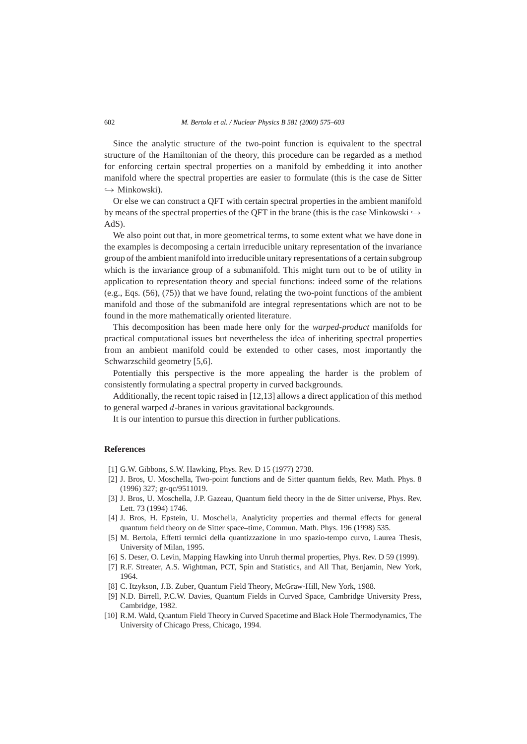Since the analytic structure of the two-point function is equivalent to the spectral structure of the Hamiltonian of the theory, this procedure can be regarded as a method for enforcing certain spectral properties on a manifold by embedding it into another manifold where the spectral properties are easier to formulate (this is the case de Sitter *,*→ Minkowski).

Or else we can construct a QFT with certain spectral properties in the ambient manifold by means of the spectral properties of the OFT in the brane (this is the case Minkowski  $\rightarrow$ AdS).

We also point out that, in more geometrical terms, to some extent what we have done in the examples is decomposing a certain irreducible unitary representation of the invariance group of the ambient manifold into irreducible unitary representations of a certain subgroup which is the invariance group of a submanifold. This might turn out to be of utility in application to representation theory and special functions: indeed some of the relations  $(e.g., Eqs. (56), (75))$  that we have found, relating the two-point functions of the ambient manifold and those of the submanifold are integral representations which are not to be found in the more mathematically oriented literature.

This decomposition has been made here only for the *warped-product* manifolds for practical computational issues but nevertheless the idea of inheriting spectral properties from an ambient manifold could be extended to other cases, most importantly the Schwarzschild geometry [5,6].

Potentially this perspective is the more appealing the harder is the problem of consistently formulating a spectral property in curved backgrounds.

Additionally, the recent topic raised in [12,13] allows a direct application of this method to general warped *d*-branes in various gravitational backgrounds.

It is our intention to pursue this direction in further publications.

# **References**

- [1] G.W. Gibbons, S.W. Hawking, Phys. Rev. D 15 (1977) 2738.
- [2] J. Bros, U. Moschella, Two-point functions and de Sitter quantum fields, Rev. Math. Phys. 8 (1996) 327; gr-qc/9511019.
- [3] J. Bros, U. Moschella, J.P. Gazeau, Quantum field theory in the de Sitter universe, Phys. Rev. Lett. 73 (1994) 1746.
- [4] J. Bros, H. Epstein, U. Moschella, Analyticity properties and thermal effects for general quantum field theory on de Sitter space–time, Commun. Math. Phys. 196 (1998) 535.
- [5] M. Bertola, Effetti termici della quantizzazione in uno spazio-tempo curvo, Laurea Thesis, University of Milan, 1995.
- [6] S. Deser, O. Levin, Mapping Hawking into Unruh thermal properties, Phys. Rev. D 59 (1999).
- [7] R.F. Streater, A.S. Wightman, PCT, Spin and Statistics, and All That, Benjamin, New York, 1964.
- [8] C. Itzykson, J.B. Zuber, Quantum Field Theory, McGraw-Hill, New York, 1988.
- [9] N.D. Birrell, P.C.W. Davies, Quantum Fields in Curved Space, Cambridge University Press, Cambridge, 1982.
- [10] R.M. Wald, Quantum Field Theory in Curved Spacetime and Black Hole Thermodynamics, The University of Chicago Press, Chicago, 1994.